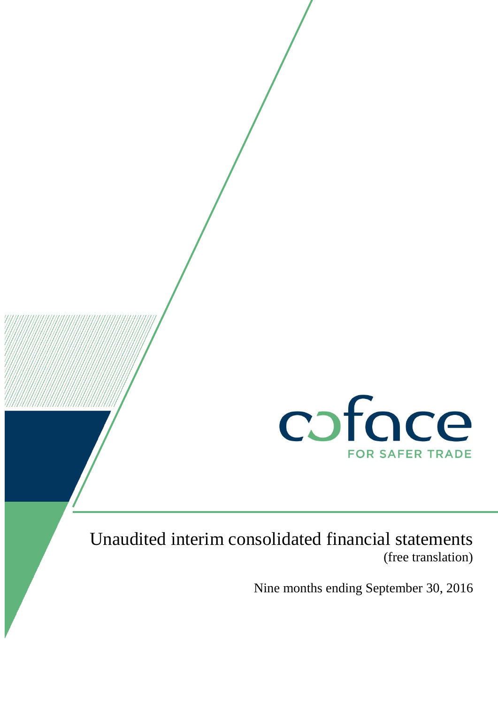

# Unaudited interim consolidated financial statements (free translation)

Nine months ending September 30, 2016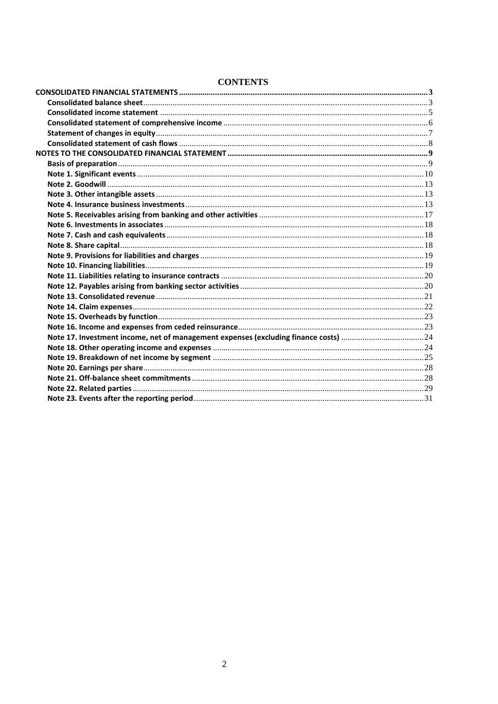| Note 17. Investment income, net of management expenses (excluding finance costs) 24 |  |
|-------------------------------------------------------------------------------------|--|
|                                                                                     |  |
|                                                                                     |  |
|                                                                                     |  |
|                                                                                     |  |
|                                                                                     |  |
|                                                                                     |  |

## **CONTENTS**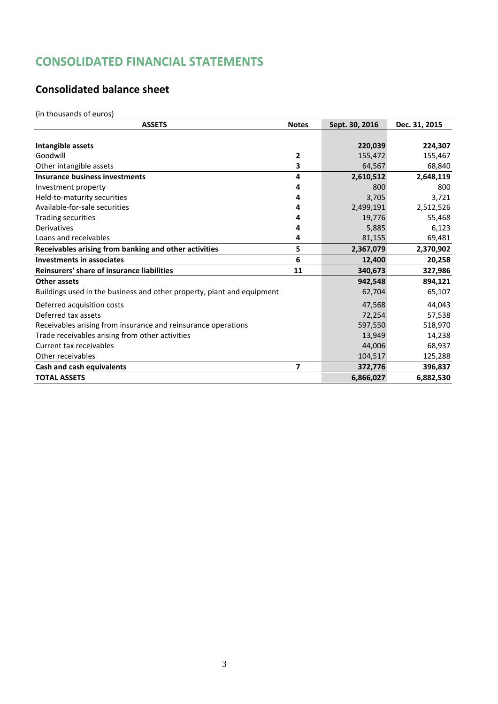# <span id="page-2-0"></span>**CONSOLIDATED FINANCIAL STATEMENTS**

# <span id="page-2-1"></span>**Consolidated balance sheet**

(in thousands of euros)

| <b>ASSETS</b>                                                          | <b>Notes</b> | Sept. 30, 2016 | Dec. 31, 2015 |
|------------------------------------------------------------------------|--------------|----------------|---------------|
|                                                                        |              |                |               |
| Intangible assets                                                      |              | 220,039        | 224,307       |
| Goodwill                                                               | 2            | 155,472        | 155,467       |
| Other intangible assets                                                | 3            | 64,567         | 68,840        |
| <b>Insurance business investments</b>                                  | 4            | 2,610,512      | 2,648,119     |
| Investment property                                                    | 4            | 800            | 800           |
| Held-to-maturity securities                                            | 4            | 3,705          | 3,721         |
| Available-for-sale securities                                          | 4            | 2,499,191      | 2,512,526     |
| <b>Trading securities</b>                                              | 4            | 19,776         | 55,468        |
| Derivatives                                                            | 4            | 5,885          | 6,123         |
| Loans and receivables                                                  | 4            | 81,155         | 69,481        |
| Receivables arising from banking and other activities                  | 5            | 2,367,079      | 2,370,902     |
| <b>Investments in associates</b>                                       | 6            | 12,400         | 20,258        |
| Reinsurers' share of insurance liabilities                             | 11           | 340,673        | 327,986       |
| Other assets                                                           |              | 942,548        | 894,121       |
| Buildings used in the business and other property, plant and equipment |              | 62,704         | 65,107        |
| Deferred acquisition costs                                             |              | 47,568         | 44,043        |
| Deferred tax assets                                                    |              | 72,254         | 57,538        |
| Receivables arising from insurance and reinsurance operations          |              | 597,550        | 518,970       |
| Trade receivables arising from other activities                        |              | 13,949         | 14,238        |
| Current tax receivables                                                |              | 44,006         | 68,937        |
| Other receivables                                                      |              | 104,517        | 125,288       |
| Cash and cash equivalents                                              | 7            | 372,776        | 396,837       |
| <b>TOTAL ASSETS</b>                                                    |              | 6,866,027      | 6,882,530     |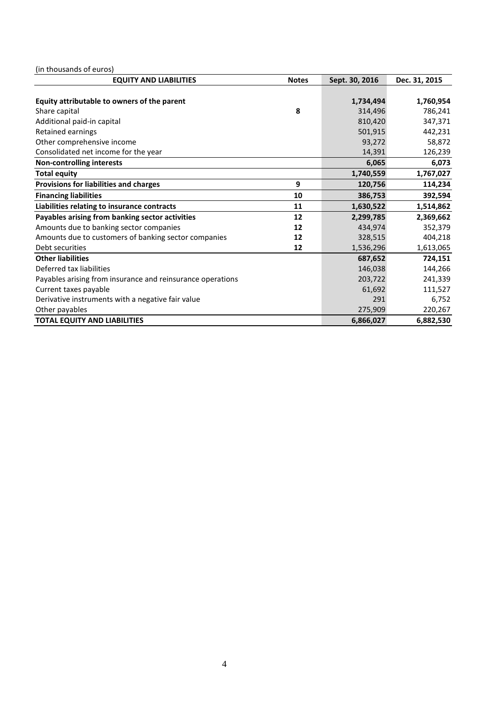(in thousands of euros)

| <b>EQUITY AND LIABILITIES</b>                              | <b>Notes</b> | Sept. 30, 2016 | Dec. 31, 2015 |
|------------------------------------------------------------|--------------|----------------|---------------|
|                                                            |              |                |               |
| Equity attributable to owners of the parent                |              | 1,734,494      | 1,760,954     |
| Share capital                                              | 8            | 314,496        | 786,241       |
| Additional paid-in capital                                 |              | 810,420        | 347,371       |
| Retained earnings                                          |              | 501,915        | 442,231       |
| Other comprehensive income                                 |              | 93,272         | 58,872        |
| Consolidated net income for the year                       |              | 14,391         | 126,239       |
| <b>Non-controlling interests</b>                           |              | 6,065          | 6,073         |
| <b>Total equity</b>                                        |              | 1,740,559      | 1,767,027     |
| Provisions for liabilities and charges                     | 9            | 120,756        | 114,234       |
| <b>Financing liabilities</b>                               | 10           | 386,753        | 392,594       |
| Liabilities relating to insurance contracts                | 11           | 1,630,522      | 1,514,862     |
| Payables arising from banking sector activities            | 12           | 2,299,785      | 2,369,662     |
| Amounts due to banking sector companies                    | 12           | 434,974        | 352,379       |
| Amounts due to customers of banking sector companies       | 12           | 328,515        | 404,218       |
| Debt securities                                            | 12           | 1,536,296      | 1,613,065     |
| <b>Other liabilities</b>                                   |              | 687,652        | 724,151       |
| Deferred tax liabilities                                   |              | 146,038        | 144,266       |
| Payables arising from insurance and reinsurance operations |              | 203,722        | 241,339       |
| Current taxes payable                                      |              | 61,692         | 111,527       |
| Derivative instruments with a negative fair value          |              | 291            | 6,752         |
| Other payables                                             |              | 275,909        | 220,267       |
| <b>TOTAL EQUITY AND LIABILITIES</b>                        |              | 6,866,027      | 6,882,530     |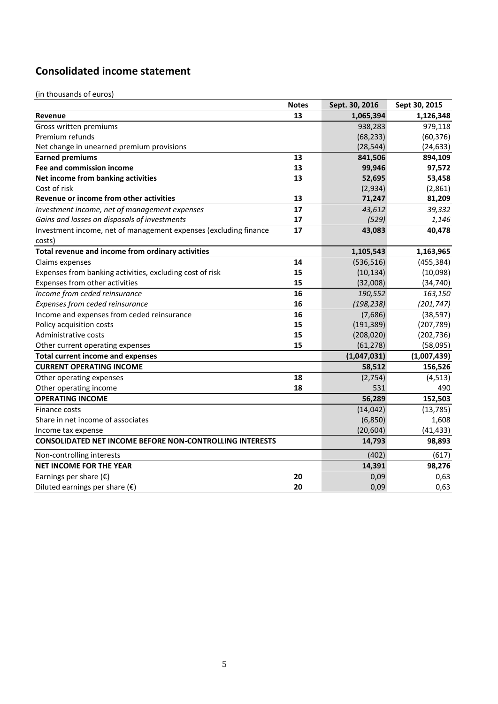# <span id="page-4-0"></span>**Consolidated income statement**

(in thousands of euros)

|                                                                  | <b>Notes</b> | Sept. 30, 2016 | Sept 30, 2015 |
|------------------------------------------------------------------|--------------|----------------|---------------|
| Revenue                                                          | 13           | 1,065,394      | 1,126,348     |
| Gross written premiums                                           |              | 938,283        | 979,118       |
| Premium refunds                                                  |              | (68, 233)      | (60, 376)     |
| Net change in unearned premium provisions                        |              | (28, 544)      | (24, 633)     |
| <b>Earned premiums</b>                                           | 13           | 841,506        | 894,109       |
| Fee and commission income                                        | 13           | 99,946         | 97,572        |
| Net income from banking activities                               | 13           | 52,695         | 53,458        |
| Cost of risk                                                     |              | (2,934)        | (2,861)       |
| Revenue or income from other activities                          | 13           | 71,247         | 81,209        |
| Investment income, net of management expenses                    | 17           | 43,612         | 39,332        |
| Gains and losses on disposals of investments                     | 17           | (529)          | 1,146         |
| Investment income, net of management expenses (excluding finance | 17           | 43,083         | 40,478        |
| costs)                                                           |              |                |               |
| Total revenue and income from ordinary activities                |              | 1,105,543      | 1,163,965     |
| Claims expenses                                                  | 14           | (536, 516)     | (455, 384)    |
| Expenses from banking activities, excluding cost of risk         | 15           | (10, 134)      | (10,098)      |
| Expenses from other activities                                   | 15           | (32,008)       | (34, 740)     |
| Income from ceded reinsurance                                    | 16           | 190,552        | 163,150       |
| Expenses from ceded reinsurance                                  | 16           | (198, 238)     | (201, 747)    |
| Income and expenses from ceded reinsurance                       | 16           | (7,686)        | (38, 597)     |
| Policy acquisition costs                                         | 15           | (191, 389)     | (207, 789)    |
| Administrative costs                                             | 15           | (208, 020)     | (202, 736)    |
| Other current operating expenses                                 | 15           | (61, 278)      | (58,095)      |
| <b>Total current income and expenses</b>                         |              | (1,047,031)    | (1,007,439)   |
| <b>CURRENT OPERATING INCOME</b>                                  |              | 58,512         | 156,526       |
| Other operating expenses                                         | 18           | (2,754)        | (4, 513)      |
| Other operating income                                           | 18           | 531            | 490           |
| <b>OPERATING INCOME</b>                                          |              | 56,289         | 152,503       |
| Finance costs                                                    |              | (14, 042)      | (13, 785)     |
| Share in net income of associates                                |              | (6, 850)       | 1,608         |
| Income tax expense                                               |              | (20, 604)      | (41, 433)     |
| <b>CONSOLIDATED NET INCOME BEFORE NON-CONTROLLING INTERESTS</b>  |              | 14,793         | 98,893        |
| Non-controlling interests                                        |              | (402)          | (617)         |
| <b>NET INCOME FOR THE YEAR</b>                                   |              | 14,391         | 98,276        |
| Earnings per share $(\epsilon)$                                  | 20           | 0,09           | 0,63          |
| Diluted earnings per share $(\epsilon)$                          | 20           | 0,09           | 0,63          |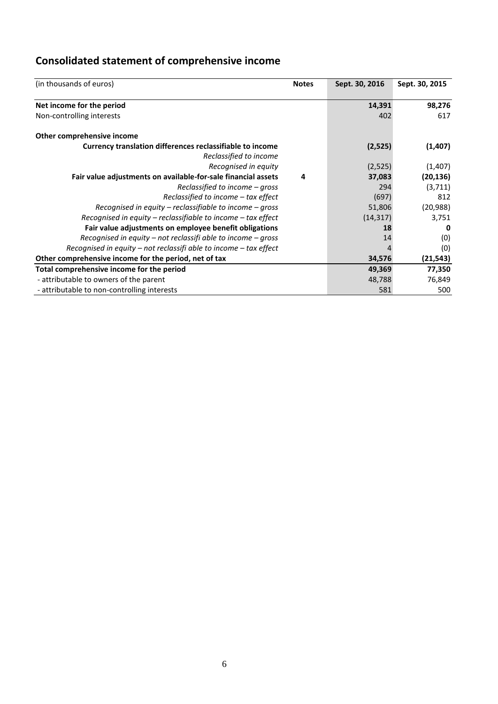# <span id="page-5-0"></span>**Consolidated statement of comprehensive income**

| (in thousands of euros)                                                             | <b>Notes</b> | Sept. 30, 2016 | Sept. 30, 2015 |
|-------------------------------------------------------------------------------------|--------------|----------------|----------------|
| Net income for the period                                                           |              | 14,391         | 98,276         |
| Non-controlling interests                                                           |              | 402            | 617            |
| Other comprehensive income                                                          |              |                |                |
| Currency translation differences reclassifiable to income<br>Reclassified to income |              | (2,525)        | (1, 407)       |
| Recognised in equity                                                                |              | (2,525)        | (1,407)        |
| Fair value adjustments on available-for-sale financial assets                       | 4            | 37,083         | (20, 136)      |
| Reclassified to income – gross                                                      |              | 294            | (3,711)        |
| $Reclassified to income - tax effect$                                               |              | (697)          | 812            |
| Recognised in equity – reclassifiable to income – gross                             |              | 51,806         | (20,988)       |
| Recognised in equity – reclassifiable to income – tax effect                        |              | (14, 317)      | 3,751          |
| Fair value adjustments on employee benefit obligations                              |              | 18             | 0              |
| Recognised in equity – not reclassifi able to income – gross                        |              | 14             | (0)            |
| Recognised in equity – not reclassifi able to income – tax effect                   |              |                | (0)            |
| Other comprehensive income for the period, net of tax                               |              | 34,576         | (21,543)       |
| Total comprehensive income for the period                                           |              | 49,369         | 77,350         |
| - attributable to owners of the parent                                              |              | 48,788         | 76,849         |
| - attributable to non-controlling interests                                         |              | 581            | 500            |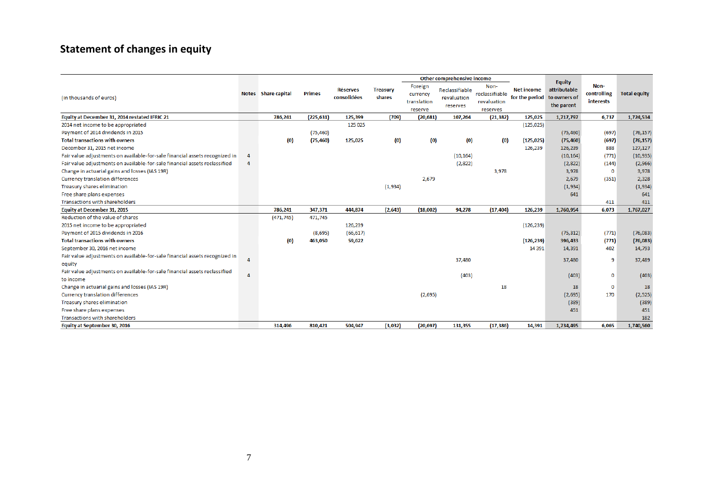# **Statement of changes in equity**

<span id="page-6-0"></span>

|                                                                             |                |                     |            |                                |                           |                                               | Other comprehensive income                |                                                   |                                     |                                                             |                                  |                     |
|-----------------------------------------------------------------------------|----------------|---------------------|------------|--------------------------------|---------------------------|-----------------------------------------------|-------------------------------------------|---------------------------------------------------|-------------------------------------|-------------------------------------------------------------|----------------------------------|---------------------|
| (in thousands of euros)                                                     |                | Notes Share capital | Primes     | <b>Réserves</b><br>consolidées | <b>Treasury</b><br>shares | Foreign<br>currency<br>translation<br>reserve | Reclassifiable<br>revaluation<br>reserves | Non-<br>reclassifiable<br>revaluation<br>reserves | <b>Net income</b><br>for the period | <b>Equity</b><br>attributable<br>to owners of<br>the parent | Non-<br>controlling<br>interests | <b>Total equity</b> |
| Equity at December 31, 2014 restated IFRIC 21                               |                | 786,241             | (225, 631) | 125,399                        | (709)                     | (20, 681)                                     | 107,264                                   | (21, 382)                                         | 125,025                             | 1,717,797                                                   | 6,737                            | 1,724,534           |
| 2014 net income to be appropriated                                          |                |                     |            | 125 025                        |                           |                                               |                                           |                                                   | (125, 025)                          |                                                             |                                  |                     |
| Payment of 2014 dividends in 2015                                           |                |                     | (75, 460)  |                                |                           |                                               |                                           |                                                   |                                     | (75, 460)                                                   | (697)                            | (76, 157)           |
| <b>Total transactions with owners</b>                                       |                | (0)                 | (75, 460)  | 125,025                        | $\left( 0 \right)$        | (0)                                           | (0)                                       | (0)                                               | (125, 025)                          | (75, 460)                                                   | (697)                            | (76, 157)           |
| December 31, 2015 net income                                                |                |                     |            |                                |                           |                                               |                                           |                                                   | 126,239                             | 126,239                                                     | 888                              | 127,127             |
| Fair value adjustments on available-for-sale financial assets recognized in | $\overline{4}$ |                     |            |                                |                           |                                               | (10, 164)                                 |                                                   |                                     | (10, 164)                                                   | (771)                            | (10, 935)           |
| Fair value adjustments on available-for-sale financial assets reclassified  | $\Delta$       |                     |            |                                |                           |                                               | (2,822)                                   |                                                   |                                     | (2,822)                                                     | (144)                            | (2,966)             |
| Change in actuarial gains and losses (IAS 19R)                              |                |                     |            |                                |                           |                                               |                                           | 3,978                                             |                                     | 3,978                                                       | $\mathbf 0$                      | 3,978               |
| <b>Currency translation differences</b>                                     |                |                     |            |                                |                           | 2,679                                         |                                           |                                                   |                                     | 2,679                                                       | (351)                            | 2,328               |
| Treasury shares elimination                                                 |                |                     |            |                                | (1,934)                   |                                               |                                           |                                                   |                                     | (1,934)                                                     |                                  | (1,934)             |
| Free share plans expenses                                                   |                |                     |            |                                |                           |                                               |                                           |                                                   |                                     | 641                                                         |                                  | 641                 |
| <b>Transactions with shareholders</b>                                       |                |                     |            |                                |                           |                                               |                                           |                                                   |                                     |                                                             | 411                              | 411                 |
| <b>Equity at December 31, 2015</b>                                          |                | 786,241             | 347,371    | 444,874                        | (2, 643)                  | (18,002)                                      | 94,278                                    | (17, 404)                                         | 126,239                             | 1,760,954                                                   | 6,073                            | 1,767,027           |
| Reduction of the value of shares                                            |                | (471, 745)          | 471,745    |                                |                           |                                               |                                           |                                                   |                                     |                                                             |                                  |                     |
| 2015 net income to be appropriated                                          |                |                     |            | 126,239                        |                           |                                               |                                           |                                                   | (126, 239)                          |                                                             |                                  |                     |
| Payment of 2015 dividends in 2016                                           |                |                     | (8,695)    | (66, 617)                      |                           |                                               |                                           |                                                   |                                     | (75, 312)                                                   | (771)                            | (76,083)            |
| <b>Total transactions with owners</b>                                       |                | (0)                 | 463,050    | 59,622                         |                           |                                               |                                           |                                                   | (126, 239)                          | 396,433                                                     | (771)                            | (76,083)            |
| September 30, 2016 net income                                               |                |                     |            |                                |                           |                                               |                                           |                                                   | 14 3 9 1                            | 14,391                                                      | 402                              | 14,793              |
| Fair value adjustments on available-for-sale financial assets recognized in |                |                     |            |                                |                           |                                               | 37,480                                    |                                                   |                                     | 37,480                                                      | 9                                | 37,489              |
| equity                                                                      |                |                     |            |                                |                           |                                               |                                           |                                                   |                                     |                                                             |                                  |                     |
| Fair value adjustments on available-for-sale financial assets reclassified  |                |                     |            |                                |                           |                                               | (403)                                     |                                                   |                                     | (403)                                                       | $\bf{0}$                         | (403)               |
| to income                                                                   |                |                     |            |                                |                           |                                               |                                           |                                                   |                                     |                                                             |                                  |                     |
| Change in actuarial gains and losses (IAS 19R)                              |                |                     |            |                                |                           |                                               |                                           | 18                                                |                                     | 18                                                          | $\bf{0}$                         | 18                  |
| <b>Currency translation differences</b>                                     |                |                     |            |                                |                           | (2,695)                                       |                                           |                                                   |                                     | (2,695)                                                     | 170                              | (2, 525)            |
| Treasury shares elimination                                                 |                |                     |            |                                |                           |                                               |                                           |                                                   |                                     | (389)                                                       |                                  | (389)               |
| Free share plans expenses                                                   |                |                     |            |                                |                           |                                               |                                           |                                                   |                                     | 451                                                         |                                  | 451                 |
| <b>Transactions with shareholders</b>                                       |                |                     |            |                                |                           |                                               |                                           |                                                   |                                     |                                                             |                                  | 182                 |
| Equity at September 30, 2016                                                |                | 314,496             | 810,421    | 504,947                        | (3,032)                   | (20, 697)                                     | 131,355                                   | (17, 386)                                         | 14,391                              | 1,734,495                                                   | 6,065                            | 1,740,560           |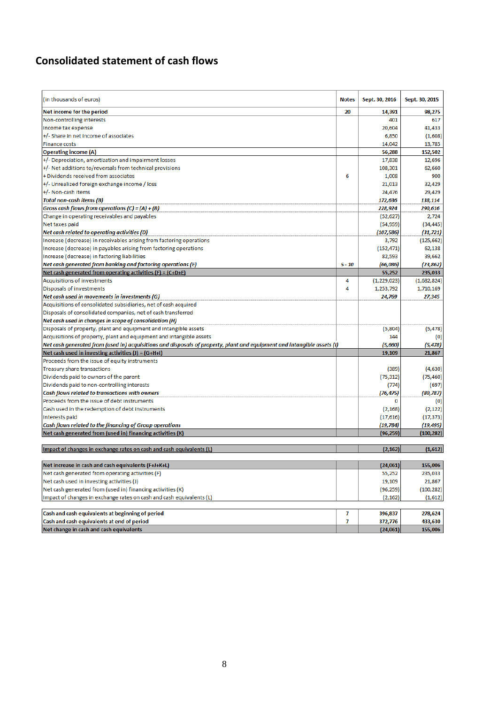# <span id="page-7-0"></span>**Consolidated statement of cash flows**

| (in thousands of euros)                                                                                                 | <b>Notes</b> | Sept. 30, 2016 | Sept. 30, 2015 |
|-------------------------------------------------------------------------------------------------------------------------|--------------|----------------|----------------|
| Net income for the period                                                                                               | 20           | 14,391         | 98,275         |
| Non-controlling interests                                                                                               |              | 401            | 617            |
| Income tax expense                                                                                                      |              | 20,604         | 41,433         |
| +/- Share in net income of associates                                                                                   |              | 6,850          | (1,608)        |
| <b>Finance costs</b>                                                                                                    |              | 14,042         | 13,785         |
| <b>Operating income (A)</b>                                                                                             |              | 56,288         | 152,502        |
| +/- Depreciation, amortization and impairment losses                                                                    |              | 17,838         | 12,696         |
| +/- Net additions to/reversals from technical provisions                                                                |              | 108,301        | 62,660         |
| + Dividends received from associates                                                                                    | 6            | 1,008          | 900            |
| +/- Unrealized foreign exchange income / loss                                                                           |              | 21,013         | 32,429         |
| +/- Non-cash items                                                                                                      |              | 24,476         | 29,429         |
| <b>Total non-cash items (B)</b>                                                                                         |              | 172,636        | 138,114        |
| Gross cash flows from operations $(C) = (A) + (B)$                                                                      |              | 228,924        | 290,616        |
| Change in operating receivables and payables                                                                            |              | (52, 627)      | 2,724          |
| Net taxes paid                                                                                                          |              | (54, 959)      | (34, 445)      |
| Net cash related to operating activities (D)                                                                            |              | (107, 586)     | (31,721)       |
| Increase (decrease) in receivables arising from factoring operations                                                    |              | 3,792          | (125, 662)     |
| Increase (decrease) in payables arising from factoring operations                                                       |              | (152, 471)     | 62,138         |
| Increase (decrease) in factoring liabilities                                                                            |              | 82,593         | 39,662         |
| Net cash generated from banking and factoring operations (E)                                                            | $5 - 10$     | (66,086)       | (23, 862)      |
| Net cash generated from operating activities $(F) = (C+D+E)$                                                            |              | 55,252         | 235,033        |
| Acquisitions of investments                                                                                             | 4            | (1,229,023)    | (1,682,824)    |
| Disposals of investments                                                                                                | 4            | 1,253,792      | 1,710,169      |
| Net cash used in movements in investments (G)                                                                           |              | 24,769         | 27,345         |
| Acquisitions of consolidated subsidiaries, net of cash acquired                                                         |              |                |                |
| Disposals of consolidated companies, net of cash transferred                                                            |              |                |                |
| Net cash used in changes in scope of consolidation (H)                                                                  |              |                |                |
| Disposals of property, plant and equipment and intangible assets                                                        |              | (5,804)        | (5, 478)       |
| Acquisitions of property, plant and equipment and intangible assets                                                     |              | 144            | (0)            |
| Net cash generated from (used in) acquisitions and disposals of property, plant and equipment and intangible assets (I) |              | (5,660)        | (5, 478)       |
| Net cash used in investing activities $(J) = (G+H+I)$                                                                   |              | 19,109         | 21,867         |
| Proceeds from the issue of equity instruments                                                                           |              |                |                |
| Treasury share transactions                                                                                             |              | (389)          | (4,630)        |
| Dividends paid to owners of the parent                                                                                  |              | (75, 312)      | (75, 460)      |
| Dividends paid to non-controlling interests                                                                             |              | (774)          | (697)          |
| Cash flows related to transactions with owners                                                                          |              | (76, 475)      | (80,787)       |
| Proceeds from the issue of debt instruments                                                                             |              | 0              | (0)            |
| Cash used in the redemption of debt instruments                                                                         |              | (2, 168)       | (2, 122)       |
| Interests paid                                                                                                          |              | (17, 616)      | (17, 373)      |
| Cash flows related to the financing of Group operations                                                                 |              | (19, 784)      | (19,495)       |
| Net cash generated from (used in) financing activities (K)                                                              |              | (96, 259)      | (100, 282)     |
|                                                                                                                         |              |                |                |
| Impact of changes in exchange rates on cash and cash equivalents (L)                                                    |              | (2, 162)       | (1,612)        |
| Net increase in cash and cash equivalents (F+J+K+L)                                                                     |              | (24,061)       | 155,006        |
| Net cash generated from operating activities (F)                                                                        |              | 55,252         | 235,033        |
| Net cash used in investing activities (J)                                                                               |              | 19,109         | 21,867         |
| Net cash generated from (used in) financing activities (K)                                                              |              | (96,259)       | (100, 282)     |
| Impact of changes in exchange rates on cash and cash equivalents (L)                                                    |              | (2, 162)       | (1,612)        |
|                                                                                                                         |              |                |                |
| Cash and cash equivalents at beginning of period                                                                        | 7            | 396,837        | 278,624        |
| Cash and cash equivalents at end of period                                                                              | 7            | 372,776        | 433,630        |
| Net change in cash and cash equivalents                                                                                 |              | (24,061)       | 155,006        |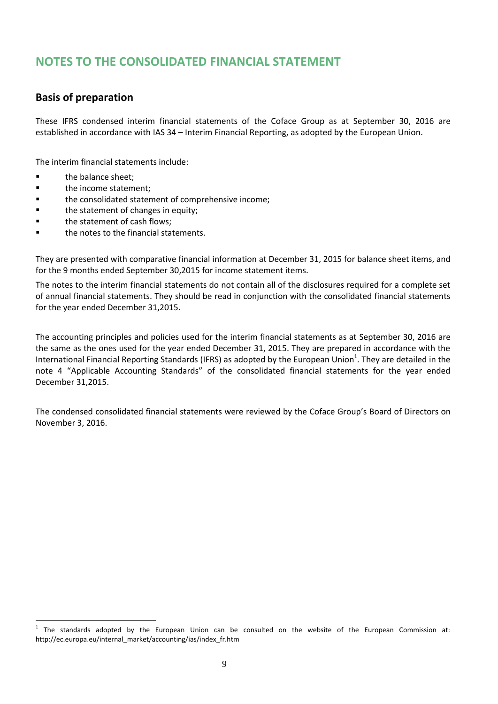# <span id="page-8-0"></span>**NOTES TO THE CONSOLIDATED FINANCIAL STATEMENT**

## <span id="page-8-1"></span>**Basis of preparation**

These IFRS condensed interim financial statements of the Coface Group as at September 30, 2016 are established in accordance with IAS 34 – Interim Financial Reporting, as adopted by the European Union.

The interim financial statements include:

**the balance sheet;** 

 $\overline{a}$ 

- **the income statement;**
- **the consolidated statement of comprehensive income;**
- **the statement of changes in equity;**
- **the statement of cash flows;**
- the notes to the financial statements.

They are presented with comparative financial information at December 31, 2015 for balance sheet items, and for the 9 months ended September 30,2015 for income statement items.

The notes to the interim financial statements do not contain all of the disclosures required for a complete set of annual financial statements. They should be read in conjunction with the consolidated financial statements for the year ended December 31,2015.

The accounting principles and policies used for the interim financial statements as at September 30, 2016 are the same as the ones used for the year ended December 31, 2015. They are prepared in accordance with the International Financial Reporting Standards (IFRS) as adopted by the European Union<sup>1</sup>. They are detailed in the note 4 "Applicable Accounting Standards" of the consolidated financial statements for the year ended December 31,2015.

The condensed consolidated financial statements were reviewed by the Coface Group's Board of Directors on November 3, 2016.

 $1$  The standards adopted by the European Union can be consulted on the website of the European Commission at: http://ec.europa.eu/internal\_market/accounting/ias/index\_fr.htm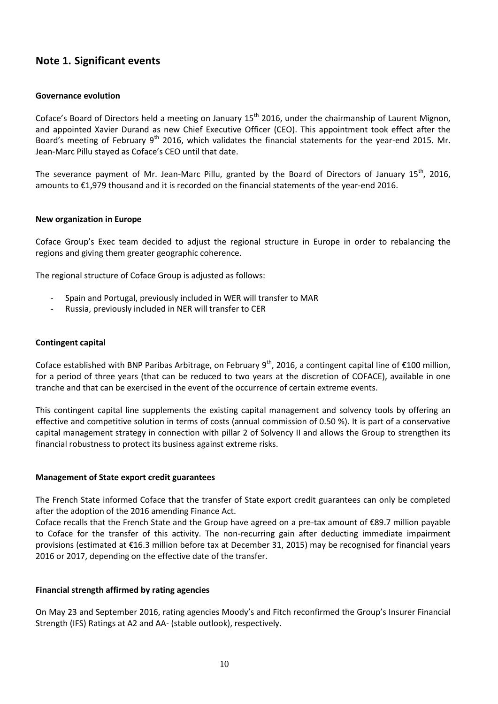## <span id="page-9-0"></span>**Note 1. Significant events**

#### **Governance evolution**

Coface's Board of Directors held a meeting on January 15<sup>th</sup> 2016, under the chairmanship of Laurent Mignon, and appointed Xavier Durand as new Chief Executive Officer (CEO). This appointment took effect after the Board's meeting of February 9<sup>th</sup> 2016, which validates the financial statements for the year-end 2015. Mr. Jean-Marc Pillu stayed as Coface's CEO until that date.

The severance payment of Mr. Jean-Marc Pillu, granted by the Board of Directors of January 15<sup>th</sup>, 2016, amounts to €1,979 thousand and it is recorded on the financial statements of the year-end 2016.

#### **New organization in Europe**

Coface Group's Exec team decided to adjust the regional structure in Europe in order to rebalancing the regions and giving them greater geographic coherence.

The regional structure of Coface Group is adjusted as follows:

- Spain and Portugal, previously included in WER will transfer to MAR
- Russia, previously included in NER will transfer to CER

#### **Contingent capital**

Coface established with BNP Paribas Arbitrage, on February 9<sup>th</sup>, 2016, a contingent capital line of €100 million, for a period of three years (that can be reduced to two years at the discretion of COFACE), available in one tranche and that can be exercised in the event of the occurrence of certain extreme events.

This contingent capital line supplements the existing capital management and solvency tools by offering an effective and competitive solution in terms of costs (annual commission of 0.50 %). It is part of a conservative capital management strategy in connection with pillar 2 of Solvency II and allows the Group to strengthen its financial robustness to protect its business against extreme risks.

#### **Management of State export credit guarantees**

The French State informed Coface that the transfer of State export credit guarantees can only be completed after the adoption of the 2016 amending Finance Act.

Coface recalls that the French State and the Group have agreed on a pre-tax amount of €89.7 million payable to Coface for the transfer of this activity. The non-recurring gain after deducting immediate impairment provisions (estimated at €16.3 million before tax at December 31, 2015) may be recognised for financial years 2016 or 2017, depending on the effective date of the transfer.

#### **Financial strength affirmed by rating agencies**

On May 23 and September 2016, rating agencies Moody's and Fitch reconfirmed the Group's Insurer Financial Strength (IFS) Ratings at A2 and AA- (stable outlook), respectively.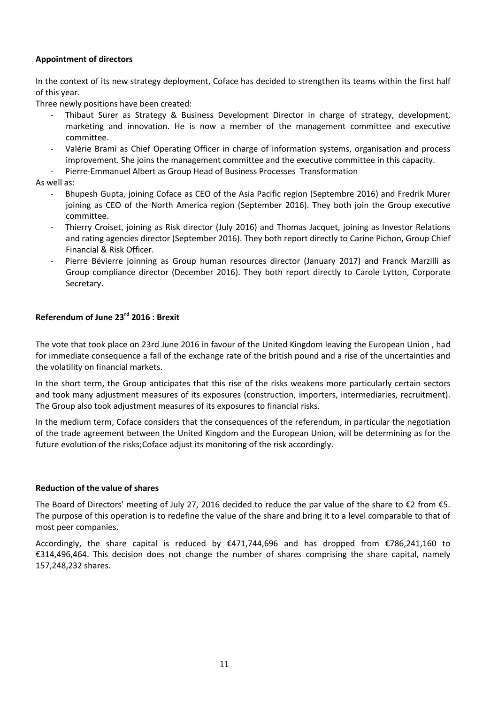#### **Appointment of directors**

In the context of its new strategy deployment, Coface has decided to strengthen its teams within the first half of this year.

Three newly positions have been created:

- Thibaut Surer as Strategy & Business Development Director in charge of strategy, development, marketing and innovation. He is now a member of the management committee and executive committee.
- Valérie Brami as Chief Operating Officer in charge of information systems, organisation and process improvement. She joins the management committee and the executive committee in this capacity.
- Pierre-Emmanuel Albert as Group Head of Business Processes Transformation

As well as:

- Bhupesh Gupta, joining Coface as CEO of the Asia Pacific region (Septembre 2016) and Fredrik Murer joining as CEO of the North America region (September 2016). They both join the Group executive committee.
- Thierry Croiset, joining as Risk director (July 2016) and Thomas Jacquet, joining as Investor Relations and rating agencies director (September 2016). They both report directly to Carine Pichon, Group Chief Financial & Risk Officer.
- Pierre Bévierre joinning as Group human resources director (January 2017) and Franck Marzilli as Group compliance director (December 2016). They both report directly to Carole Lytton, Corporate Secretary.

## **Referendum of June 23rd 2016 : Brexit**

The vote that took place on 23rd June 2016 in favour of the United Kingdom leaving the European Union , had for immediate consequence a fall of the exchange rate of the british pound and a rise of the uncertainties and the volatility on financial markets.

In the short term, the Group anticipates that this rise of the risks weakens more particularly certain sectors and took many adjustment measures of its exposures (construction, importers, intermediaries, recruitment). The Group also took adjustment measures of its exposures to financial risks.

In the medium term, Coface considers that the consequences of the referendum, in particular the negotiation of the trade agreement between the United Kingdom and the European Union, will be determining as for the future evolution of the risks;Coface adjust its monitoring of the risk accordingly.

#### **Reduction of the value of shares**

The Board of Directors' meeting of July 27, 2016 decided to reduce the par value of the share to  $\epsilon$ 2 from  $\epsilon$ 5. The purpose of this operation is to redefine the value of the share and bring it to a level comparable to that of most peer companies.

Accordingly, the share capital is reduced by €471,744,696 and has dropped from €786,241,160 to €314,496,464. This decision does not change the number of shares comprising the share capital, namely 157,248,232 shares.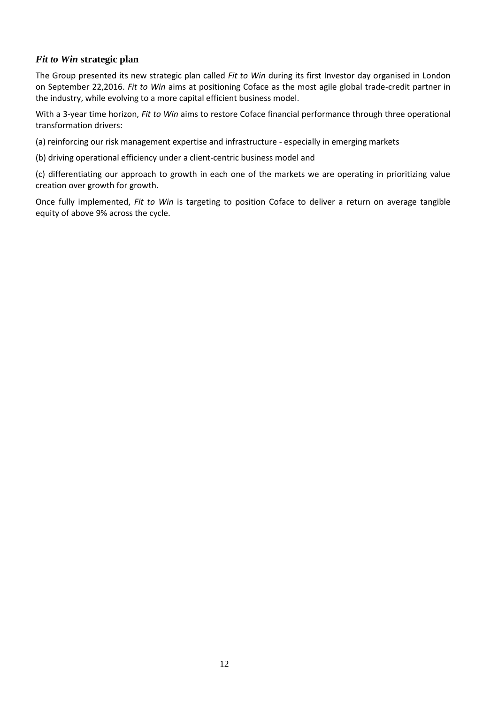#### *Fit to Win* **strategic plan**

The Group presented its new strategic plan called *Fit to Win* during its first Investor day organised in London on September 22,2016. *Fit to Win* aims at positioning Coface as the most agile global trade-credit partner in the industry, while evolving to a more capital efficient business model.

With a 3-year time horizon, *Fit to Win* aims to restore Coface financial performance through three operational transformation drivers:

(a) reinforcing our risk management expertise and infrastructure - especially in emerging markets

(b) driving operational efficiency under a client-centric business model and

(c) differentiating our approach to growth in each one of the markets we are operating in prioritizing value creation over growth for growth.

Once fully implemented, *Fit to Win* is targeting to position Coface to deliver a return on average tangible equity of above 9% across the cycle.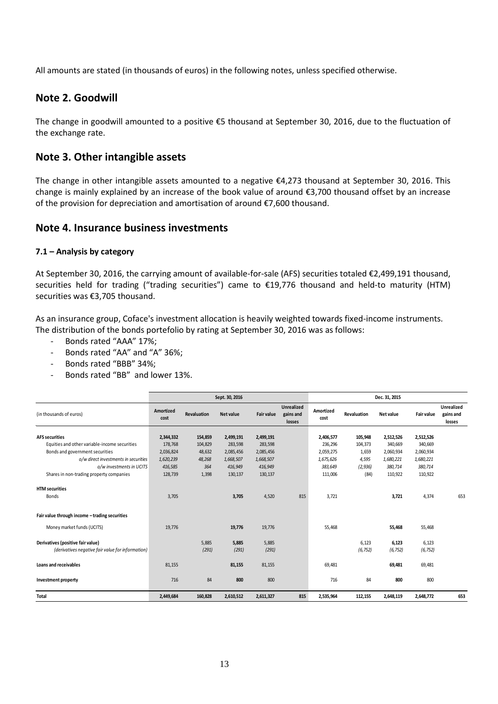All amounts are stated (in thousands of euros) in the following notes, unless specified otherwise.

## <span id="page-12-0"></span>**Note 2. Goodwill**

The change in goodwill amounted to a positive €5 thousand at September 30, 2016, due to the fluctuation of the exchange rate.

## <span id="page-12-1"></span>**Note 3. Other intangible assets**

The change in other intangible assets amounted to a negative €4,273 thousand at September 30, 2016. This change is mainly explained by an increase of the book value of around €3,700 thousand offset by an increase of the provision for depreciation and amortisation of around €7,600 thousand.

## <span id="page-12-2"></span>**Note 4. Insurance business investments**

#### **7.1 – Analysis by category**

At September 30, 2016, the carrying amount of available-for-sale (AFS) securities totaled €2,499,191 thousand, securities held for trading ("trading securities") came to €19,776 thousand and held-to maturity (HTM) securities was €3,705 thousand.

As an insurance group, Coface's investment allocation is heavily weighted towards fixed-income instruments. The distribution of the bonds portefolio by rating at September 30, 2016 was as follows:

- Bonds rated "AAA" 17%;
- Bonds rated "AA" and "A" 36%;
- Bonds rated "BBB" 34%;
- Bonds rated "BB" and lower 13%.

|                                                   |                   |             | Sept. 30, 2016 |            |                                          | Dec. 31, 2015     |             |           |            |                                   |
|---------------------------------------------------|-------------------|-------------|----------------|------------|------------------------------------------|-------------------|-------------|-----------|------------|-----------------------------------|
| (in thousands of euros)                           | Amortized<br>cost | Revaluation | Net value      | Fair value | <b>Unrealized</b><br>gains and<br>losses | Amortized<br>cost | Revaluation | Net value | Fair value | Unrealized<br>gains and<br>losses |
|                                                   |                   |             |                |            |                                          |                   |             |           |            |                                   |
| <b>AFS securities</b>                             | 2,344,332         | 154,859     | 2,499,191      | 2,499,191  |                                          | 2,406,577         | 105,948     | 2,512,526 | 2,512,526  |                                   |
| Equities and other variable-income securities     | 178,768           | 104,829     | 283,598        | 283,598    |                                          | 236,296           | 104,373     | 340,669   | 340,669    |                                   |
| Bonds and government securities                   | 2,036,824         | 48,632      | 2,085,456      | 2,085,456  |                                          | 2,059,275         | 1,659       | 2,060,934 | 2,060,934  |                                   |
| o/w direct investments in securities              | 1,620,239         | 48,268      | 1,668,507      | 1,668,507  |                                          | 1,675,626         | 4,595       | 1,680,221 | 1,680,221  |                                   |
| o/w investments in UCITS                          | 416,585           | 364         | 416,949        | 416,949    |                                          | 383,649           | (2, 936)    | 380.714   | 380,714    |                                   |
| Shares in non-trading property companies          | 128,739           | 1,398       | 130,137        | 130,137    |                                          | 111,006           | (84)        | 110,922   | 110,922    |                                   |
| <b>HTM</b> securities<br><b>Bonds</b>             | 3,705             |             | 3,705          | 4,520      | 815                                      | 3,721             |             | 3,721     | 4,374      | 653                               |
| Fair value through income - trading securities    |                   |             |                |            |                                          |                   |             |           |            |                                   |
| Money market funds (UCITS)                        | 19.776            |             | 19,776         | 19,776     |                                          | 55.468            |             | 55,468    | 55,468     |                                   |
| Derivatives (positive fair value)                 |                   | 5.885       | 5.885          | 5,885      |                                          |                   | 6,123       | 6,123     | 6,123      |                                   |
| (derivatives negative fair value for information) |                   | (291)       | (291)          | (291)      |                                          |                   | (6, 752)    | (6, 752)  | (6, 752)   |                                   |
| Loans and receivables                             | 81,155            |             | 81,155         | 81,155     |                                          | 69.481            |             | 69.481    | 69.481     |                                   |
| Investment property                               | 716               | 84          | 800            | 800        |                                          | 716               | 84          | 800       | 800        |                                   |
| <b>Total</b>                                      | 2,449,684         | 160,828     | 2,610,512      | 2,611,327  | 815                                      | 2,535,964         | 112,155     | 2,648,119 | 2,648,772  | 653                               |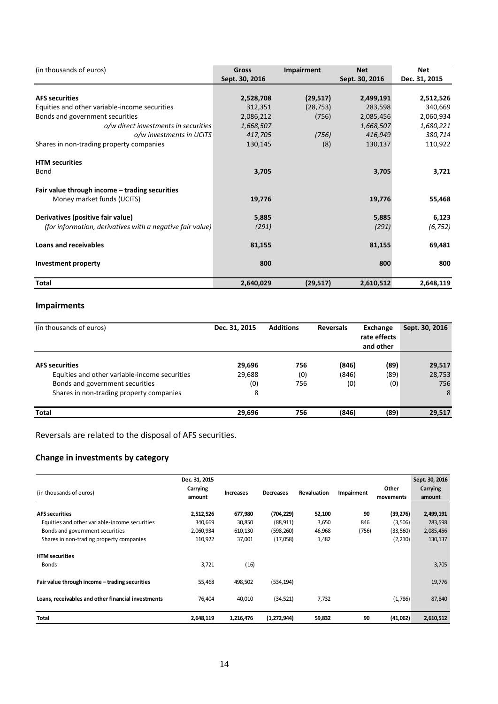| (in thousands of euros)                                   | Gross          | Impairment | <b>Net</b>     | <b>Net</b>    |
|-----------------------------------------------------------|----------------|------------|----------------|---------------|
|                                                           | Sept. 30, 2016 |            | Sept. 30, 2016 | Dec. 31, 2015 |
| <b>AFS securities</b>                                     | 2,528,708      | (29, 517)  | 2,499,191      | 2,512,526     |
| Equities and other variable-income securities             | 312,351        | (28, 753)  | 283,598        | 340,669       |
| Bonds and government securities                           | 2,086,212      | (756)      | 2,085,456      | 2,060,934     |
| o/w direct investments in securities                      | 1,668,507      |            | 1,668,507      | 1,680,221     |
| o/w investments in UCITS                                  | 417,705        | (756)      | 416,949        | 380,714       |
| Shares in non-trading property companies                  | 130,145        | (8)        | 130,137        | 110,922       |
| <b>HTM</b> securities                                     |                |            |                |               |
| Bond                                                      | 3,705          |            | 3,705          | 3,721         |
| Fair value through income - trading securities            |                |            |                |               |
| Money market funds (UCITS)                                | 19,776         |            | 19,776         | 55,468        |
| Derivatives (positive fair value)                         | 5,885          |            | 5,885          | 6,123         |
| (for information, derivatives with a negative fair value) | (291)          |            | (291)          | (6, 752)      |
| <b>Loans and receivables</b>                              | 81,155         |            | 81,155         | 69,481        |
| <b>Investment property</b>                                | 800            |            | 800            | 800           |
| Total                                                     | 2,640,029      | (29, 517)  | 2,610,512      | 2,648,119     |

## **Impairments**

| (in thousands of euros)                       | <b>Additions</b><br>Dec. 31, 2015 |     | <b>Reversals</b> | Exchange<br>rate effects<br>and other | Sept. 30, 2016 |  |
|-----------------------------------------------|-----------------------------------|-----|------------------|---------------------------------------|----------------|--|
| <b>AFS</b> securities                         | 29,696                            | 756 | (846)            | (89)                                  | 29,517         |  |
| Equities and other variable-income securities | 29,688                            | (0) | (846)            | (89)                                  | 28,753         |  |
| Bonds and government securities               | (0)                               | 756 | (0)              | (0)                                   | 756            |  |
| Shares in non-trading property companies      | 8                                 |     |                  |                                       | 8              |  |
| Total                                         | 29,696                            | 756 | (846)            | (89)                                  | 29,517         |  |

Reversals are related to the disposal of AFS securities.

## **Change in investments by category**

|                                                    | Dec. 31, 2015 |                  |                  |             |            |           | Sept. 30, 2016 |
|----------------------------------------------------|---------------|------------------|------------------|-------------|------------|-----------|----------------|
| (in thousands of euros)                            | Carrying      | <b>Increases</b> | <b>Decreases</b> | Revaluation | Impairment | Other     | Carrying       |
|                                                    | amount        |                  |                  |             |            | movements | amount         |
| <b>AFS securities</b>                              | 2,512,526     | 677,980          | (704, 229)       | 52,100      | 90         | (39, 276) | 2,499,191      |
| Equities and other variable-income securities      | 340,669       | 30,850           | (88, 911)        | 3,650       | 846        | (3,506)   | 283,598        |
| Bonds and government securities                    | 2,060,934     | 610,130          | (598, 260)       | 46,968      | (756)      | (33, 560) | 2,085,456      |
| Shares in non-trading property companies           | 110,922       | 37,001           | (17,058)         | 1,482       |            | (2, 210)  | 130,137        |
| <b>HTM</b> securities                              |               |                  |                  |             |            |           |                |
| <b>Bonds</b>                                       | 3,721         | (16)             |                  |             |            |           | 3,705          |
| Fair value through income - trading securities     | 55,468        | 498,502          | (534, 194)       |             |            |           | 19,776         |
| Loans, receivables and other financial investments | 76,404        | 40,010           | (34, 521)        | 7,732       |            | (1,786)   | 87,840         |
| Total                                              | 2,648,119     | 1,216,476        | (1, 272, 944)    | 59,832      | 90         | (41,062)  | 2,610,512      |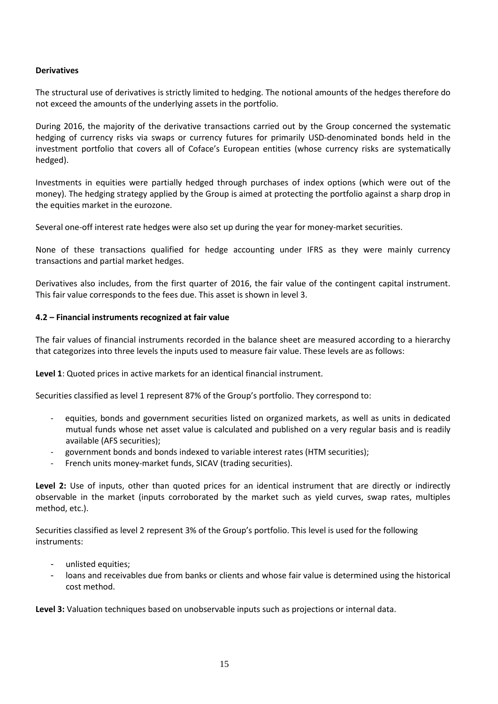#### **Derivatives**

The structural use of derivatives is strictly limited to hedging. The notional amounts of the hedges therefore do not exceed the amounts of the underlying assets in the portfolio.

During 2016, the majority of the derivative transactions carried out by the Group concerned the systematic hedging of currency risks via swaps or currency futures for primarily USD-denominated bonds held in the investment portfolio that covers all of Coface's European entities (whose currency risks are systematically hedged).

Investments in equities were partially hedged through purchases of index options (which were out of the money). The hedging strategy applied by the Group is aimed at protecting the portfolio against a sharp drop in the equities market in the eurozone.

Several one-off interest rate hedges were also set up during the year for money-market securities.

None of these transactions qualified for hedge accounting under IFRS as they were mainly currency transactions and partial market hedges.

Derivatives also includes, from the first quarter of 2016, the fair value of the contingent capital instrument. This fair value corresponds to the fees due. This asset is shown in level 3.

#### **4.2 – Financial instruments recognized at fair value**

The fair values of financial instruments recorded in the balance sheet are measured according to a hierarchy that categorizes into three levels the inputs used to measure fair value. These levels are as follows:

**Level 1**: Quoted prices in active markets for an identical financial instrument.

Securities classified as level 1 represent 87% of the Group's portfolio. They correspond to:

- equities, bonds and government securities listed on organized markets, as well as units in dedicated mutual funds whose net asset value is calculated and published on a very regular basis and is readily available (AFS securities);
- government bonds and bonds indexed to variable interest rates (HTM securities);
- French units money-market funds, SICAV (trading securities).

**Level 2:** Use of inputs, other than quoted prices for an identical instrument that are directly or indirectly observable in the market (inputs corroborated by the market such as yield curves, swap rates, multiples method, etc.).

Securities classified as level 2 represent 3% of the Group's portfolio. This level is used for the following instruments:

- unlisted equities;
- loans and receivables due from banks or clients and whose fair value is determined using the historical cost method.

**Level 3:** Valuation techniques based on unobservable inputs such as projections or internal data.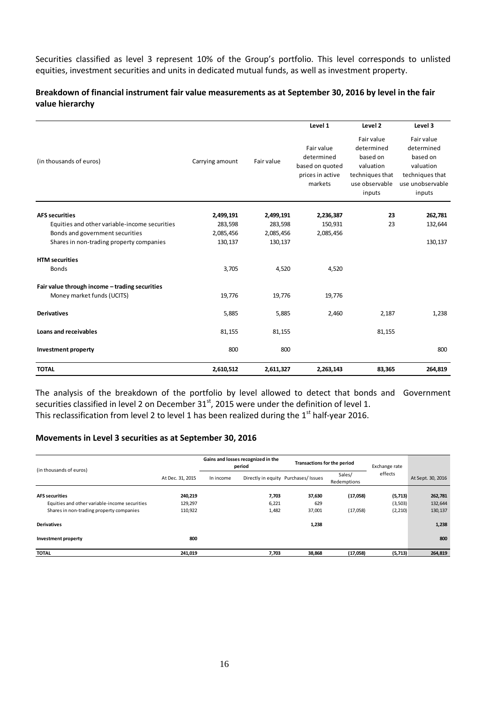Securities classified as level 3 represent 10% of the Group's portfolio. This level corresponds to unlisted equities, investment securities and units in dedicated mutual funds, as well as investment property.

#### **Breakdown of financial instrument fair value measurements as at September 30, 2016 by level in the fair value hierarchy**

|                                                |                 |            | Level 1                                                                    | Level 2                                                                                          | Level 3                                                                                            |
|------------------------------------------------|-----------------|------------|----------------------------------------------------------------------------|--------------------------------------------------------------------------------------------------|----------------------------------------------------------------------------------------------------|
| (in thousands of euros)                        | Carrying amount | Fair value | Fair value<br>determined<br>based on quoted<br>prices in active<br>markets | Fair value<br>determined<br>based on<br>valuation<br>techniques that<br>use observable<br>inputs | Fair value<br>determined<br>based on<br>valuation<br>techniques that<br>use unobservable<br>inputs |
| <b>AFS securities</b>                          | 2,499,191       | 2,499,191  | 2,236,387                                                                  | 23                                                                                               | 262,781                                                                                            |
| Equities and other variable-income securities  | 283,598         | 283,598    | 150,931                                                                    | 23                                                                                               | 132,644                                                                                            |
| Bonds and government securities                | 2,085,456       | 2,085,456  | 2,085,456                                                                  |                                                                                                  |                                                                                                    |
| Shares in non-trading property companies       | 130,137         | 130,137    |                                                                            |                                                                                                  | 130,137                                                                                            |
| <b>HTM</b> securities                          |                 |            |                                                                            |                                                                                                  |                                                                                                    |
| <b>Bonds</b>                                   | 3,705           | 4,520      | 4,520                                                                      |                                                                                                  |                                                                                                    |
| Fair value through income - trading securities |                 |            |                                                                            |                                                                                                  |                                                                                                    |
| Money market funds (UCITS)                     | 19,776          | 19,776     | 19,776                                                                     |                                                                                                  |                                                                                                    |
| <b>Derivatives</b>                             | 5,885           | 5,885      | 2,460                                                                      | 2,187                                                                                            | 1,238                                                                                              |
| Loans and receivables                          | 81,155          | 81,155     |                                                                            | 81,155                                                                                           |                                                                                                    |
| <b>Investment property</b>                     | 800             | 800        |                                                                            |                                                                                                  | 800                                                                                                |
| <b>TOTAL</b>                                   | 2,610,512       | 2,611,327  | 2,263,143                                                                  | 83,365                                                                                           | 264,819                                                                                            |

The analysis of the breakdown of the portfolio by level allowed to detect that bonds and Government securities classified in level 2 on December 31<sup>st</sup>, 2015 were under the definition of level 1. This reclassification from level 2 to level 1 has been realized during the  $1<sup>st</sup>$  half-year 2016.

### **Movements in Level 3 securities as at September 30, 2016**

| (in thousands of euros)                       |                  | Gains and losses recognized in the<br>period |       | Transactions for the period          |                       | Exchange rate |                   |
|-----------------------------------------------|------------------|----------------------------------------------|-------|--------------------------------------|-----------------------|---------------|-------------------|
|                                               | At Dec. 31, 2015 | In income                                    |       | Directly in equity Purchases/ Issues | Sales/<br>Redemptions | effects       | At Sept. 30, 2016 |
| <b>AFS securities</b>                         | 240,219          |                                              | 7,703 | 37,630                               | (17,058)              | (5,713)       | 262,781           |
| Equities and other variable-income securities | 129,297          |                                              | 6,221 | 629                                  |                       | (3,503)       | 132,644           |
| Shares in non-trading property companies      | 110,922          |                                              | 1,482 | 37,001                               | (17,058)              | (2,210)       | 130,137           |
| <b>Derivatives</b>                            |                  |                                              |       | 1,238                                |                       |               | 1,238             |
| Investment property                           | 800              |                                              |       |                                      |                       |               | 800               |
| <b>TOTAL</b>                                  | 241.019          |                                              | 7,703 | 38,868                               | (17,058)              | (5,713)       | 264,819           |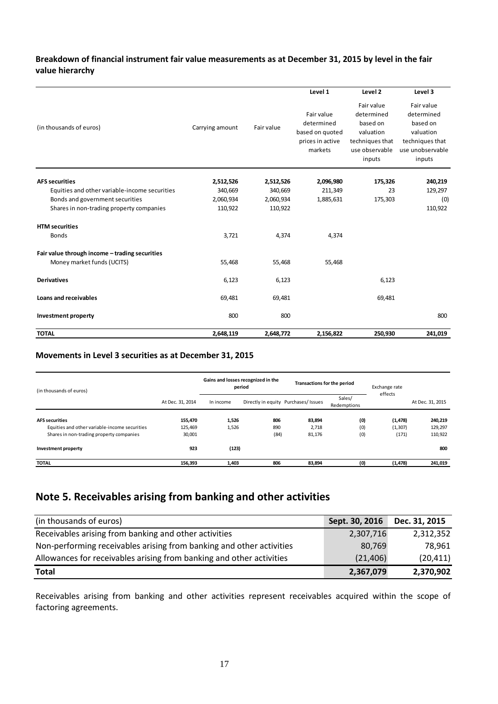#### **Breakdown of financial instrument fair value measurements as at December 31, 2015 by level in the fair value hierarchy**

|                                                |                 |            | Level 1                                                                    | Level <sub>2</sub>                                                                               | Level 3                                                                                            |
|------------------------------------------------|-----------------|------------|----------------------------------------------------------------------------|--------------------------------------------------------------------------------------------------|----------------------------------------------------------------------------------------------------|
| (in thousands of euros)                        | Carrying amount | Fair value | Fair value<br>determined<br>based on quoted<br>prices in active<br>markets | Fair value<br>determined<br>based on<br>valuation<br>techniques that<br>use observable<br>inputs | Fair value<br>determined<br>based on<br>valuation<br>techniques that<br>use unobservable<br>inputs |
| <b>AFS securities</b>                          | 2,512,526       | 2,512,526  | 2,096,980                                                                  | 175,326                                                                                          | 240,219                                                                                            |
| Equities and other variable-income securities  | 340,669         | 340,669    | 211,349                                                                    | 23                                                                                               | 129,297                                                                                            |
| Bonds and government securities                | 2,060,934       | 2,060,934  | 1,885,631                                                                  | 175,303                                                                                          | (0)                                                                                                |
| Shares in non-trading property companies       | 110,922         | 110,922    |                                                                            |                                                                                                  | 110,922                                                                                            |
| <b>HTM</b> securities                          |                 |            |                                                                            |                                                                                                  |                                                                                                    |
| <b>Bonds</b>                                   | 3,721           | 4,374      | 4,374                                                                      |                                                                                                  |                                                                                                    |
| Fair value through income - trading securities |                 |            |                                                                            |                                                                                                  |                                                                                                    |
| Money market funds (UCITS)                     | 55,468          | 55,468     | 55,468                                                                     |                                                                                                  |                                                                                                    |
| <b>Derivatives</b>                             | 6,123           | 6,123      |                                                                            | 6,123                                                                                            |                                                                                                    |
| Loans and receivables                          | 69,481          | 69,481     |                                                                            | 69,481                                                                                           |                                                                                                    |
| <b>Investment property</b>                     | 800             | 800        |                                                                            |                                                                                                  | 800                                                                                                |
| <b>TOTAL</b>                                   | 2,648,119       | 2,648,772  | 2,156,822                                                                  | 250,930                                                                                          | 241,019                                                                                            |

#### **Movements in Level 3 securities as at December 31, 2015**

| (in thousands of euros)                       |                  | Gains and losses recognized in the<br>period |      | Transactions for the period          |                       |          |                  | Exchange rate<br>effects |  |
|-----------------------------------------------|------------------|----------------------------------------------|------|--------------------------------------|-----------------------|----------|------------------|--------------------------|--|
|                                               | At Dec. 31, 2014 | In income                                    |      | Directly in equity Purchases/ Issues | Sales/<br>Redemptions |          | At Dec. 31, 2015 |                          |  |
| <b>AFS</b> securities                         | 155.470          | 1,526                                        | 806  | 83,894                               | (0)                   | (1, 478) | 240,219          |                          |  |
| Equities and other variable-income securities | 125.469          | 1,526                                        | 890  | 2.718                                | (0)                   | (1, 307) | 129,297          |                          |  |
| Shares in non-trading property companies      | 30,001           |                                              | (84) | 81,176                               | (0)                   | (171)    | 110,922          |                          |  |
| Investment property                           | 923              | (123)                                        |      |                                      |                       |          | 800              |                          |  |
| <b>TOTAL</b>                                  | 156,393          | 1,403                                        | 806  | 83,894                               | (0)                   | (1, 478) | 241,019          |                          |  |

# <span id="page-16-0"></span>**Note 5. Receivables arising from banking and other activities**

| (in thousands of euros)                                              | Sept. 30, 2016 | Dec. 31, 2015 |
|----------------------------------------------------------------------|----------------|---------------|
| Receivables arising from banking and other activities                | 2,307,716      | 2,312,352     |
| Non-performing receivables arising from banking and other activities | 80,769         | 78.961        |
| Allowances for receivables arising from banking and other activities | (21, 406)      | (20, 411)     |
| <b>Total</b>                                                         | 2,367,079      | 2,370,902     |

Receivables arising from banking and other activities represent receivables acquired within the scope of factoring agreements.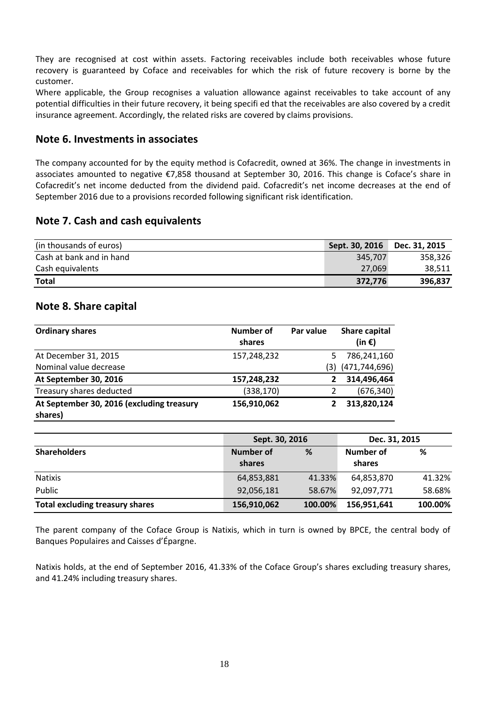They are recognised at cost within assets. Factoring receivables include both receivables whose future recovery is guaranteed by Coface and receivables for which the risk of future recovery is borne by the customer.

Where applicable, the Group recognises a valuation allowance against receivables to take account of any potential difficulties in their future recovery, it being specifi ed that the receivables are also covered by a credit insurance agreement. Accordingly, the related risks are covered by claims provisions.

## <span id="page-17-0"></span>**Note 6. Investments in associates**

The company accounted for by the equity method is Cofacredit, owned at 36%. The change in investments in associates amounted to negative €7,858 thousand at September 30, 2016. This change is Coface's share in Cofacredit's net income deducted from the dividend paid. Cofacredit's net income decreases at the end of September 2016 due to a provisions recorded following significant risk identification.

### <span id="page-17-1"></span>**Note 7. Cash and cash equivalents**

| (in thousands of euros)  | Sept. 30, 2016 | Dec. 31, 2015 |
|--------------------------|----------------|---------------|
| Cash at bank and in hand | 345,707        | 358,326       |
| Cash equivalents         | 27,069         | 38.511        |
| <b>Total</b>             | 372,776        | 396,837       |

## <span id="page-17-2"></span>**Note 8. Share capital**

| <b>Ordinary shares</b>                               | Number of<br>shares | Par value | <b>Share capital</b><br>(in $\epsilon$ ) |
|------------------------------------------------------|---------------------|-----------|------------------------------------------|
| At December 31, 2015                                 | 157,248,232         |           | 786,241,160                              |
| Nominal value decrease                               |                     | (3)       | (471, 744, 696)                          |
| At September 30, 2016                                | 157,248,232         |           | 314,496,464                              |
| Treasury shares deducted                             | (338, 170)          |           | (676, 340)                               |
| At September 30, 2016 (excluding treasury<br>shares) | 156,910,062         |           | 313,820,124                              |

|                                        | Sept. 30, 2016             |         | Dec. 31, 2015       |         |
|----------------------------------------|----------------------------|---------|---------------------|---------|
| <b>Shareholders</b>                    | <b>Number of</b><br>shares | %       | Number of<br>shares | %       |
| <b>Natixis</b>                         | 64,853,881                 | 41.33%  | 64,853,870          | 41.32%  |
| Public                                 | 92,056,181                 | 58.67%  | 92,097,771          | 58.68%  |
| <b>Total excluding treasury shares</b> | 156,910,062                | 100.00% | 156,951,641         | 100.00% |

The parent company of the Coface Group is Natixis, which in turn is owned by BPCE, the central body of Banques Populaires and Caisses d'Épargne.

Natixis holds, at the end of September 2016, 41.33% of the Coface Group's shares excluding treasury shares, and 41.24% including treasury shares.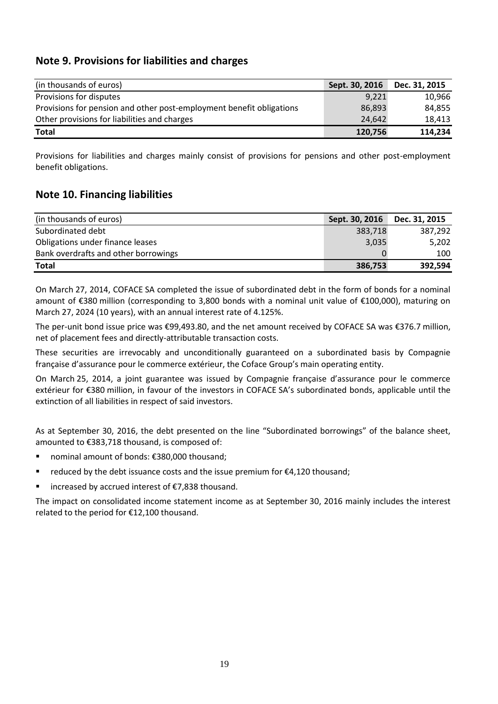## <span id="page-18-0"></span>**Note 9. Provisions for liabilities and charges**

| (in thousands of euros)                                              | Sept. 30, 2016 | Dec. 31, 2015 |
|----------------------------------------------------------------------|----------------|---------------|
| Provisions for disputes                                              | 9,221          | 10.966        |
| Provisions for pension and other post-employment benefit obligations | 86,893         | 84.855        |
| Other provisions for liabilities and charges                         | 24.642         | 18,413        |
| Total                                                                | 120,756        | 114,234       |

Provisions for liabilities and charges mainly consist of provisions for pensions and other post-employment benefit obligations.

## <span id="page-18-1"></span>**Note 10. Financing liabilities**

| (in thousands of euros)              | Sept. 30, 2016 | Dec. 31, 2015 |
|--------------------------------------|----------------|---------------|
| Subordinated debt                    | 383,718        | 387.292       |
| Obligations under finance leases     | 3,035          | 5,202         |
| Bank overdrafts and other borrowings |                | 100           |
| <b>Total</b>                         | 386,753        | 392,594       |

On March 27, 2014, COFACE SA completed the issue of subordinated debt in the form of bonds for a nominal amount of €380 million (corresponding to 3,800 bonds with a nominal unit value of €100,000), maturing on March 27, 2024 (10 years), with an annual interest rate of 4.125%.

The per-unit bond issue price was €99,493.80, and the net amount received by COFACE SA was €376.7 million, net of placement fees and directly-attributable transaction costs.

These securities are irrevocably and unconditionally guaranteed on a subordinated basis by Compagnie française d'assurance pour le commerce extérieur, the Coface Group's main operating entity.

On March 25, 2014, a joint guarantee was issued by Compagnie française d'assurance pour le commerce extérieur for €380 million, in favour of the investors in COFACE SA's subordinated bonds, applicable until the extinction of all liabilities in respect of said investors.

As at September 30, 2016, the debt presented on the line "Subordinated borrowings" of the balance sheet, amounted to €383,718 thousand, is composed of:

- nominal amount of bonds: €380,000 thousand;
- reduced by the debt issuance costs and the issue premium for €4,120 thousand;
- increased by accrued interest of €7,838 thousand.

The impact on consolidated income statement income as at September 30, 2016 mainly includes the interest related to the period for €12,100 thousand.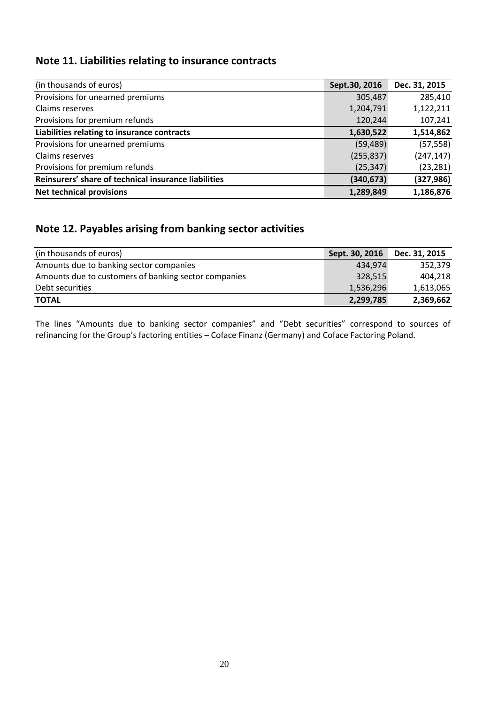# <span id="page-19-0"></span>**Note 11. Liabilities relating to insurance contracts**

| (in thousands of euros)                              | Sept.30, 2016 | Dec. 31, 2015 |
|------------------------------------------------------|---------------|---------------|
| Provisions for unearned premiums                     | 305,487       | 285,410       |
| Claims reserves                                      | 1,204,791     | 1,122,211     |
| Provisions for premium refunds                       | 120,244       | 107,241       |
| Liabilities relating to insurance contracts          | 1,630,522     | 1,514,862     |
| Provisions for unearned premiums                     | (59, 489)     | (57, 558)     |
| Claims reserves                                      | (255, 837)    | (247, 147)    |
| Provisions for premium refunds                       | (25, 347)     | (23, 281)     |
| Reinsurers' share of technical insurance liabilities | (340, 673)    | (327, 986)    |
| <b>Net technical provisions</b>                      | 1,289,849     | 1,186,876     |

# <span id="page-19-1"></span>**Note 12. Payables arising from banking sector activities**

| (in thousands of euros)                              | Sept. 30, 2016 | Dec. 31, 2015 |
|------------------------------------------------------|----------------|---------------|
| Amounts due to banking sector companies              | 434.974        | 352.379       |
| Amounts due to customers of banking sector companies | 328,515        | 404.218       |
| Debt securities                                      | 1,536,296      | 1,613,065     |
| <b>TOTAL</b>                                         | 2,299,785      | 2,369,662     |

The lines "Amounts due to banking sector companies" and "Debt securities" correspond to sources of refinancing for the Group's factoring entities – Coface Finanz (Germany) and Coface Factoring Poland.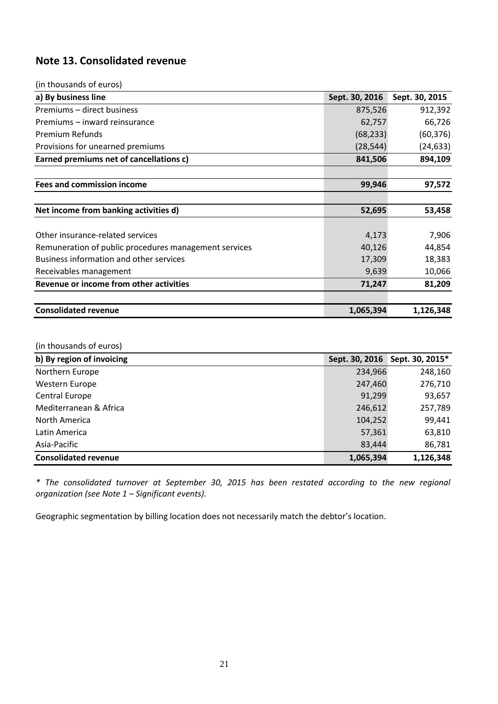# <span id="page-20-0"></span>**Note 13. Consolidated revenue**

| (in thousands of euros)                               |                |                |
|-------------------------------------------------------|----------------|----------------|
| a) By business line                                   | Sept. 30, 2016 | Sept. 30, 2015 |
| Premiums - direct business                            | 875,526        | 912,392        |
| Premiums – inward reinsurance                         | 62,757         | 66,726         |
| Premium Refunds                                       | (68, 233)      | (60, 376)      |
| Provisions for unearned premiums                      | (28, 544)      | (24, 633)      |
| Earned premiums net of cancellations c)               | 841,506        | 894,109        |
| <b>Fees and commission income</b>                     | 99,946         | 97,572         |
| Net income from banking activities d)                 | 52,695         | 53,458         |
|                                                       |                |                |
| Other insurance-related services                      | 4,173          | 7,906          |
| Remuneration of public procedures management services | 40,126         | 44,854         |
| Business information and other services               | 17,309         | 18,383         |
| Receivables management                                | 9,639          | 10,066         |
| Revenue or income from other activities               | 71,247         | 81,209         |
| <b>Consolidated revenue</b>                           | 1,065,394      | 1,126,348      |

#### (in thousands of euros)

| b) By region of invoicing   |           | Sept. 30, 2016 Sept. 30, 2015* |
|-----------------------------|-----------|--------------------------------|
| Northern Europe             | 234,966   | 248,160                        |
| Western Europe              | 247,460   | 276,710                        |
| <b>Central Europe</b>       | 91,299    | 93,657                         |
| Mediterranean & Africa      | 246,612   | 257,789                        |
| North America               | 104,252   | 99,441                         |
| Latin America               | 57,361    | 63,810                         |
| Asia-Pacific                | 83,444    | 86,781                         |
| <b>Consolidated revenue</b> | 1,065,394 | 1,126,348                      |

*\* The consolidated turnover at September 30, 2015 has been restated according to the new regional organization (see Note 1 – Significant events).*

Geographic segmentation by billing location does not necessarily match the debtor's location.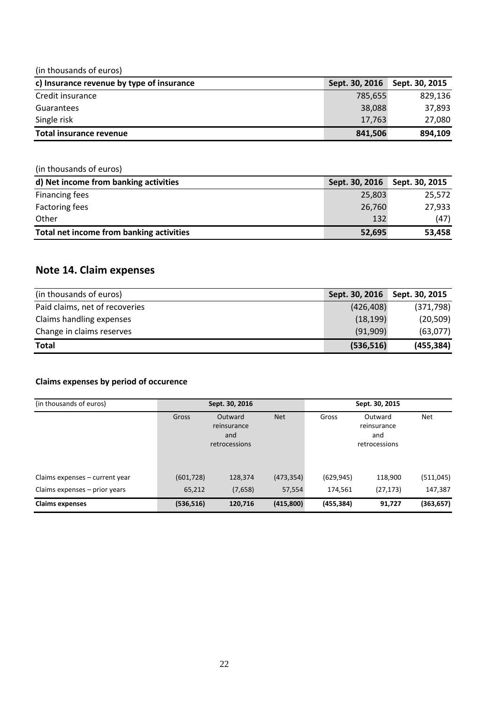#### (in thousands of euros)

| c) Insurance revenue by type of insurance | Sept. 30, 2016 | Sept. 30, 2015 |
|-------------------------------------------|----------------|----------------|
| Credit insurance                          | 785.655        | 829,136        |
| <b>Guarantees</b>                         | 38,088         | 37.893         |
| Single risk                               | 17,763         | 27,080         |
| Total insurance revenue                   | 841,506        | 894.109        |

## (in thousands of euros) **d) Net income from banking activities Sept. 30, 2016 Sept. 30, 2015 Sept. 30, 2015** Financing fees 25,572 Factoring fees 27,933 Other (47) **Total net income from banking activities 52,695** 53,458

## <span id="page-21-0"></span>**Note 14. Claim expenses**

| (in thousands of euros)        | Sept. 30, 2016 | Sept. 30, 2015 |
|--------------------------------|----------------|----------------|
| Paid claims, net of recoveries | (426, 408)     | (371, 798)     |
| Claims handling expenses       | (18, 199)      | (20, 509)      |
| Change in claims reserves      | (91,909)       | (63,077)       |
| <b>Total</b>                   | (536, 516)     | (455, 384)     |

#### **Claims expenses by period of occurence**

| (in thousands of euros)         |            | Sept. 30, 2016                                 |            |            | Sept. 30, 2015                                 |            |
|---------------------------------|------------|------------------------------------------------|------------|------------|------------------------------------------------|------------|
|                                 | Gross      | Outward<br>reinsurance<br>and<br>retrocessions | <b>Net</b> | Gross      | Outward<br>reinsurance<br>and<br>retrocessions | <b>Net</b> |
| Claims expenses – current year  | (601, 728) | 128,374                                        | (473, 354) | (629, 945) | 118,900                                        | (511, 045) |
| Claims expenses $-$ prior years | 65,212     | (7,658)                                        | 57,554     | 174,561    | (27, 173)                                      | 147,387    |
| <b>Claims expenses</b>          | (536, 516) | 120,716                                        | (415,800)  | (455, 384) | 91,727                                         | (363, 657) |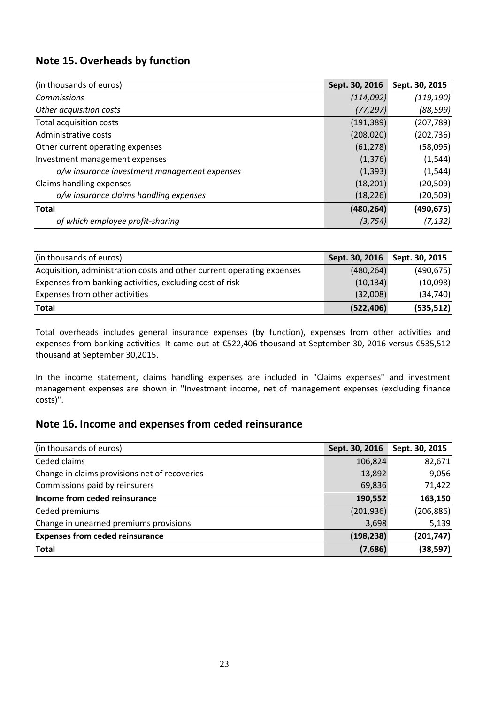# <span id="page-22-0"></span>**Note 15. Overheads by function**

| (in thousands of euros)                      | Sept. 30, 2016 | Sept. 30, 2015 |
|----------------------------------------------|----------------|----------------|
| Commissions                                  | (114, 092)     | (119, 190)     |
| Other acquisition costs                      | (77, 297)      | (88, 599)      |
| Total acquisition costs                      | (191, 389)     | (207, 789)     |
| Administrative costs                         | (208, 020)     | (202, 736)     |
| Other current operating expenses             | (61, 278)      | (58,095)       |
| Investment management expenses               | (1, 376)       | (1, 544)       |
| o/w insurance investment management expenses | (1, 393)       | (1, 544)       |
| Claims handling expenses                     | (18, 201)      | (20, 509)      |
| o/w insurance claims handling expenses       | (18, 226)      | (20, 509)      |
| <b>Total</b>                                 | (480, 264)     | (490, 675)     |
| of which employee profit-sharing             | (3, 754)       | (7, 132)       |

| (in thousands of euros)                                                | Sept. 30, 2016 | Sept. 30, 2015 |
|------------------------------------------------------------------------|----------------|----------------|
| Acquisition, administration costs and other current operating expenses | (480, 264)     | (490, 675)     |
| Expenses from banking activities, excluding cost of risk               | (10, 134)      | (10,098)       |
| Expenses from other activities                                         | (32,008)       | (34, 740)      |
| <b>Total</b>                                                           | (522, 406)     | (535, 512)     |

Total overheads includes general insurance expenses (by function), expenses from other activities and expenses from banking activities. It came out at €522,406 thousand at September 30, 2016 versus €535,512 thousand at September 30,2015.

In the income statement, claims handling expenses are included in "Claims expenses" and investment management expenses are shown in "Investment income, net of management expenses (excluding finance costs)".

# <span id="page-22-1"></span>**Note 16. Income and expenses from ceded reinsurance**

| (in thousands of euros)                       | Sept. 30, 2016 | Sept. 30, 2015 |
|-----------------------------------------------|----------------|----------------|
| Ceded claims                                  | 106,824        | 82,671         |
| Change in claims provisions net of recoveries | 13,892         | 9,056          |
| Commissions paid by reinsurers                | 69,836         | 71,422         |
| Income from ceded reinsurance                 | 190,552        | 163,150        |
| Ceded premiums                                | (201, 936)     | (206, 886)     |
| Change in unearned premiums provisions        | 3,698          | 5,139          |
| <b>Expenses from ceded reinsurance</b>        | (198, 238)     | (201, 747)     |
| <b>Total</b>                                  | (7,686)        | (38, 597)      |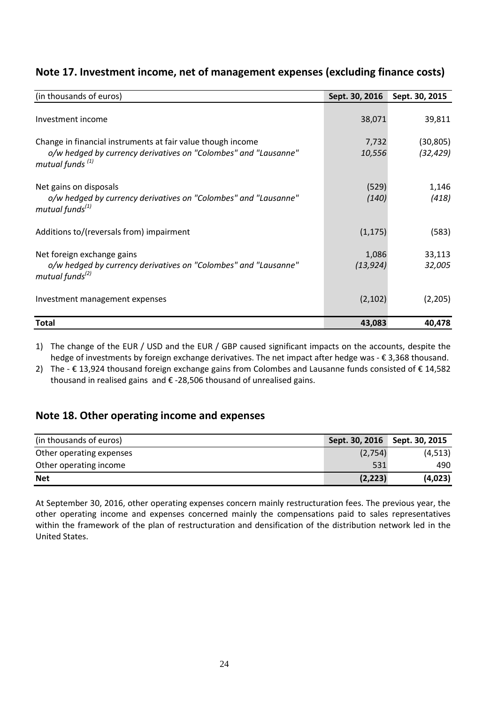| (in thousands of euros)                                         | Sept. 30, 2016 | Sept. 30, 2015 |
|-----------------------------------------------------------------|----------------|----------------|
|                                                                 |                |                |
| Investment income                                               | 38,071         | 39,811         |
|                                                                 |                |                |
| Change in financial instruments at fair value though income     | 7,732          | (30, 805)      |
| o/w hedged by currency derivatives on "Colombes" and "Lausanne" | 10,556         | (32, 429)      |
| mutual funds <sup>(1)</sup>                                     |                |                |
|                                                                 |                |                |
| Net gains on disposals                                          | (529)          | 1,146          |
| o/w hedged by currency derivatives on "Colombes" and "Lausanne" | (140)          | (418)          |
| mutual funds $^{(1)}$                                           |                |                |
|                                                                 |                |                |
| Additions to/(reversals from) impairment                        | (1, 175)       | (583)          |
|                                                                 |                |                |
| Net foreign exchange gains                                      | 1,086          | 33,113         |
| o/w hedged by currency derivatives on "Colombes" and "Lausanne" | (13, 924)      | 32,005         |
| mutual funds <sup>(2)</sup>                                     |                |                |
|                                                                 |                |                |
| Investment management expenses                                  | (2, 102)       | (2, 205)       |
|                                                                 |                |                |
| Total                                                           | 43,083         | 40,478         |

## <span id="page-23-0"></span>**Note 17. Investment income, net of management expenses (excluding finance costs)**

1) The change of the EUR / USD and the EUR / GBP caused significant impacts on the accounts, despite the hedge of investments by foreign exchange derivatives. The net impact after hedge was - € 3,368 thousand.

2) The - € 13,924 thousand foreign exchange gains from Colombes and Lausanne funds consisted of € 14,582 thousand in realised gains and € -28,506 thousand of unrealised gains.

# <span id="page-23-1"></span>**Note 18. Other operating income and expenses**

| (in thousands of euros)  | Sept. 30, 2016 | Sept. 30, 2015 |
|--------------------------|----------------|----------------|
| Other operating expenses | (2,754)        | (4, 513)       |
| Other operating income   | 531            | 490            |
| <b>Net</b>               | (2, 223)       | (4,023)        |

At September 30, 2016, other operating expenses concern mainly restructuration fees. The previous year, the other operating income and expenses concerned mainly the compensations paid to sales representatives within the framework of the plan of restructuration and densification of the distribution network led in the United States.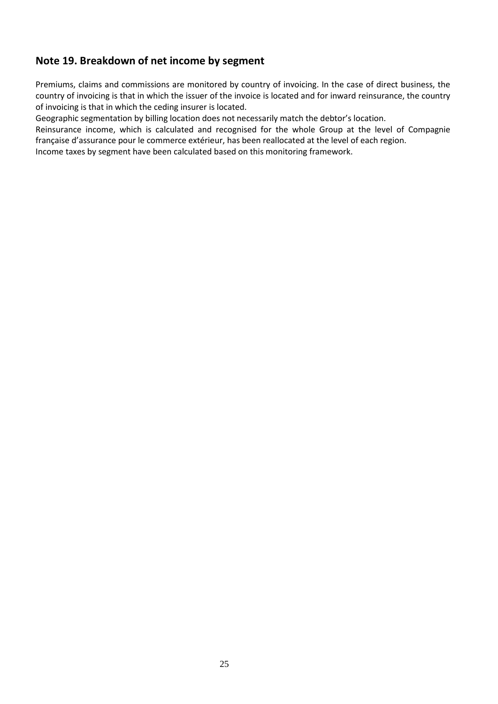# <span id="page-24-0"></span>**Note 19. Breakdown of net income by segment**

Premiums, claims and commissions are monitored by country of invoicing. In the case of direct business, the country of invoicing is that in which the issuer of the invoice is located and for inward reinsurance, the country of invoicing is that in which the ceding insurer is located.

Geographic segmentation by billing location does not necessarily match the debtor's location.

Reinsurance income, which is calculated and recognised for the whole Group at the level of Compagnie française d'assurance pour le commerce extérieur, has been reallocated at the level of each region.

Income taxes by segment have been calculated based on this monitoring framework.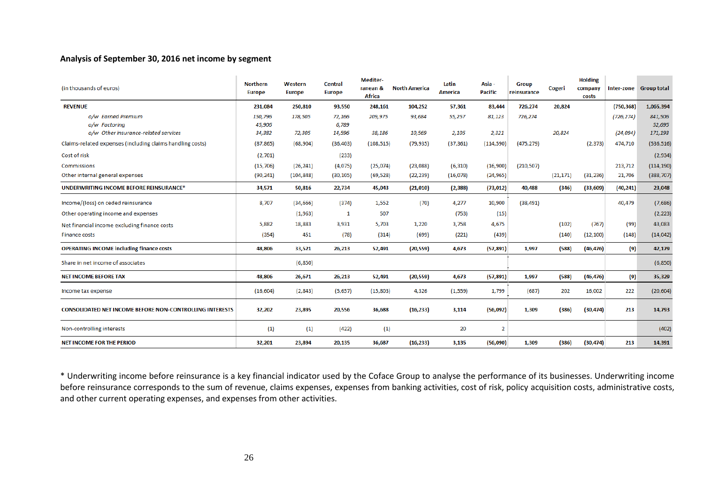#### **Analysis of September 30, 2016 net income by segment**

| (in thousands of euros)                                         | <b>Northern</b><br><b>Europe</b> | Western<br><b>Europe</b> | <b>Central</b><br><b>Europe</b> | <b>Mediter-</b><br>ranean &<br><b>Africa</b> | <b>North America</b> | Latin<br>America | Asia-<br><b>Pacific</b> | <b>Group</b><br>reinsurance | Cogeri    | <b>Holding</b><br>company<br>costs |            | Inter-zone Group total |
|-----------------------------------------------------------------|----------------------------------|--------------------------|---------------------------------|----------------------------------------------|----------------------|------------------|-------------------------|-----------------------------|-----------|------------------------------------|------------|------------------------|
| <b>REVENUE</b>                                                  | 231,084                          | 250,810                  | 93,550                          | 248,161                                      | 104,252              | 57,361           | 83,444                  | 726,274                     | 20,824    |                                    | (750, 368) | 1,065,394              |
| o/w Earned Premium                                              | 150,796                          | 178,505                  | 72,166                          | 209,975                                      | 93,684               | 55,257           | 81,123                  | 726,274                     |           |                                    | (726, 274) | 841,506                |
| o/w Factoring                                                   | 45,906                           |                          | 6,789                           |                                              |                      |                  |                         |                             |           |                                    |            | 52,695                 |
| o/w Other insurance-related services                            | 34,382                           | 72,305                   | 14,596                          | 38,186                                       | 10,569               | 2,105            | 2,321                   |                             | 20,824    |                                    | (24, 094)  | 171,193                |
| Claims-related expenses (including claims handling costs)       | (87, 865)                        | (68, 904)                | (36, 403)                       | (108, 515)                                   | (79, 935)            | (37, 361)        | (114, 590)              | (475, 279)                  |           | (2, 373)                           | 474,710    | (536, 516)             |
| Cost of risk                                                    | (2,701)                          |                          | (233)                           |                                              |                      |                  |                         |                             |           |                                    |            | (2,934)                |
| <b>Commissions</b>                                              | (15,706)                         | (26, 241)                | (4,075)                         | (25, 074)                                    | (23,088)             | (6, 310)         | (16,900)                | (210, 507)                  |           |                                    | 213,712    | (114, 190)             |
| Other internal general expenses                                 | (90, 241)                        | (104, 848)               | (30, 105)                       | (69, 528)                                    | (22, 239)            | (16,078)         | (24, 965)               |                             | (21, 171) | (31, 236)                          | 21,706     | (388, 707)             |
| UNDERWRITING INCOME BEFORE REINSURANCE*                         | 34,571                           | 50,816                   | 22,734                          | 45,043                                       | (21,010)             | (2, 388)         | (73, 012)               | 40,488                      | (346)     | (33,609)                           | (40, 241)  | 23,048                 |
| Income/(loss) on ceded reinsurance                              | 8.707                            | (34, 666)                | (374)                           | 1,552                                        | (70)                 | 4,277            | 10,900                  | (38, 491)                   |           |                                    | 40,479     | (7,686)                |
| Other operating income and expenses                             |                                  | (1,963)                  | $\mathbf{1}$                    | 507                                          |                      | (753)            | (15)                    |                             |           |                                    |            | (2, 223)               |
| Net financial income excluding finance costs                    | 5,882                            | 18,883                   | 3,931                           | 5,703                                        | 1,220                | 3,758            | 4,675                   |                             | (102)     | (767)                              | (99)       | 43,083                 |
| <b>Finance costs</b>                                            | (354)                            | 451                      | (78)                            | (314)                                        | (699)                | (221)            | (439)                   |                             | (140)     | (12, 100)                          | (148)      | (14, 042)              |
| <b>OPERATING INCOME including finance costs</b>                 | 48,806                           | 33,521                   | 26,213                          | 52,491                                       | (20, 559)            | 4,673            | (57, 891)               | 1,997                       | (588)     | (46, 476)                          | (9)        | 42,179                 |
| Share in net income of associates                               |                                  | (6,850)                  |                                 |                                              |                      |                  |                         |                             |           |                                    |            | (6,850)                |
| <b>NET INCOME BEFORE TAX</b>                                    | 48,806                           | 26,671                   | 26,213                          | 52,491                                       | (20, 559)            | 4,673            | (57, 891)               | 1,997                       | (588)     | (46, 476)                          | (9)        | 35,329                 |
| Income tax expense                                              | (16, 604)                        | (2,843)                  | (5,657)                         | (15,803)                                     | 4,326                | (1, 559)         | 1,799                   | (687)                       | 202       | 16,002                             | 222        | (20, 604)              |
| <b>CONSOLIDATED NET INCOME BEFORE NON-CONTROLLING INTERESTS</b> | 32,202                           | 23,895                   | 20,556                          | 36,688                                       | (16, 233)            | 3,114            | (56,092)                | 1,309                       | (386)     | (30, 474)                          | 213        | 14,793                 |
| Non-controlling interests                                       | (1)                              | (1)                      | (422)                           | (1)                                          |                      | 20               | 2                       |                             |           |                                    |            | (402)                  |
| <b>NET INCOME FOR THE PERIOD</b>                                | 32,201                           | 23,894                   | 20,135                          | 36,687                                       | (16, 233)            | 3,135            | (56,090)                | 1,309                       | (386)     | (30, 474)                          | 213        | 14,391                 |

\* Underwriting income before reinsurance is a key financial indicator used by the Coface Group to analyse the performance of its businesses. Underwriting income before reinsurance corresponds to the sum of revenue, claims expenses, expenses from banking activities, cost of risk, policy acquisition costs, administrative costs, and other current operating expenses, and expenses from other activities.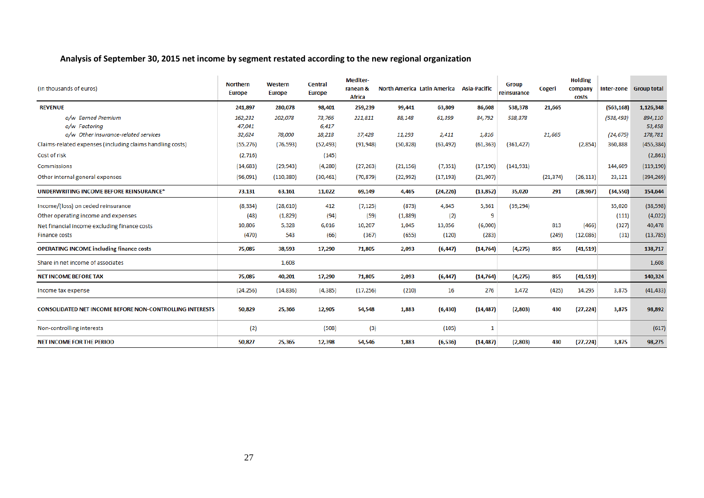## **Analysis of September 30, 2015 net income by segment restated according to the new regional organization**

| (in thousands of euros)                                         | <b>Northern</b><br><b>Europe</b> | Western<br><b>Europe</b> | <b>Central</b><br><b>Europe</b> | <b>Mediter-</b><br>ranean &<br><b>Africa</b> |           | North America Latin America Asia-Pacific |           | <b>Group</b><br>reinsurance | Cogeri    | <b>Holding</b><br>company<br>costs |            | Inter-zone Group total |
|-----------------------------------------------------------------|----------------------------------|--------------------------|---------------------------------|----------------------------------------------|-----------|------------------------------------------|-----------|-----------------------------|-----------|------------------------------------|------------|------------------------|
| <b>REVENUE</b>                                                  | 241,897                          | 280,078                  | 98,401                          | 259,239                                      | 99,441    | 63,809                                   | 86,608    | 538,378                     | 21,665    |                                    | (563, 168) | 1,126,348              |
| o/w Earned Premium                                              | 162,232                          | 202,078                  | 73,766                          | 221,811                                      | 88,148    | 61,399                                   | 84,792    | 538,378                     |           |                                    | (538, 493) | 894,110                |
| o/w Factoring                                                   | 47,041                           |                          | 6,417                           |                                              |           |                                          |           |                             |           |                                    |            | 53,458                 |
| o/w Other insurance-related services                            | 32,624                           | 78,000                   | 18,218                          | 37,428                                       | 11,293    | 2,411                                    | 1,816     |                             | 21,665    |                                    | (24, 675)  | 178,781                |
| Claims-related expenses (including claims handling costs)       | (55, 276)                        | (76, 593)                | (52, 493)                       | (91, 948)                                    | (50, 828) | (63, 492)                                | (61, 363) | (361, 427)                  |           | (2,854)                            | 360,888    | (455, 384)             |
| Cost of risk                                                    | (2,716)                          |                          | (145)                           |                                              |           |                                          |           |                             |           |                                    |            | (2,861)                |
| <b>Commissions</b>                                              | (14, 683)                        | (29, 943)                | (4, 280)                        | (27, 263)                                    | (21, 156) | (7, 351)                                 | (17, 190) | (141, 931)                  |           |                                    | 144,609    | (119, 190)             |
| Other internal general expenses                                 | (96,091)                         | (110, 380)               | (30, 461)                       | (70, 879)                                    | (22, 992) | (17, 193)                                | (21, 907) |                             | (21, 374) | (26, 113)                          | 23,121     | (394, 269)             |
| <b>UNDERWRITING INCOME BEFORE REINSURANCE*</b>                  | 73,131                           | 63,161                   | 11,022                          | 69,149                                       | 4,465     | (24, 226)                                | (13, 852) | 35,020                      | 291       | (28, 967)                          | (34, 550)  | 154,644                |
| Income/(loss) on ceded reinsurance                              | (8, 334)                         | (28, 610)                | 412                             | (7, 125)                                     | (873)     | 4,845                                    | 5,361     | (39, 294)                   |           |                                    | 35,020     | (38, 598)              |
| Other operating income and expenses                             | (48)                             | (1,829)                  | (94)                            | (59)                                         | (1,889)   | (2)                                      | 9         |                             |           |                                    | (111)      | (4,022)                |
| Net financial income excluding finance costs                    | 10,806                           | 5,328                    | 6,016                           | 10,207                                       | 1,045     | 13,056                                   | (6,000)   |                             | 813       | (466)                              | (327)      | 40,478                 |
| <b>Finance costs</b>                                            | (470)                            | 543                      | (66)                            | (367)                                        | (655)     | (120)                                    | (283)     |                             | (249)     | (12,086)                           | (31)       | (13, 785)              |
| <b>OPERATING INCOME including finance costs</b>                 | 75,085                           | 38,593                   | 17,290                          | 71,805                                       | 2,093     | (6, 447)                                 | (14, 764) | (4,275)                     | 855       | (41, 519)                          |            | 138,717                |
| Share in net income of associates                               |                                  | 1,608                    |                                 |                                              |           |                                          |           |                             |           |                                    |            | 1,608                  |
| <b>NET INCOME BEFORE TAX</b>                                    | 75,085                           | 40,201                   | 17,290                          | 71,805                                       | 2,093     | (6, 447)                                 | (14, 764) | (4,275)                     | 855       | (41, 519)                          |            | 140,324                |
| Income tax expense                                              | (24, 256)                        | (14, 836)                | (4, 385)                        | (17, 256)                                    | (210)     | 16                                       | 276       | 1,472                       | (425)     | 14,295                             | 3,875      | (41, 433)              |
| <b>CONSOLIDATED NET INCOME BEFORE NON-CONTROLLING INTERESTS</b> | 50,829                           | 25,366                   | 12,905                          | 54,548                                       | 1,883     | (6, 430)                                 | (14, 487) | (2,803)                     | 430       | (27, 224)                          | 3,875      | 98,892                 |
| Non-controlling interests                                       | (2)                              |                          | (508)                           | (3)                                          |           | (105)                                    | -1        |                             |           |                                    |            | (617)                  |
| NET INCOME FOR THE PERIOD                                       | 50,827                           | 25,365                   | 12,398                          | 54,546                                       | 1,883     | (6, 536)                                 | (14, 487) | (2,803)                     | 430       | (27, 224)                          | 3,875      | 98,275                 |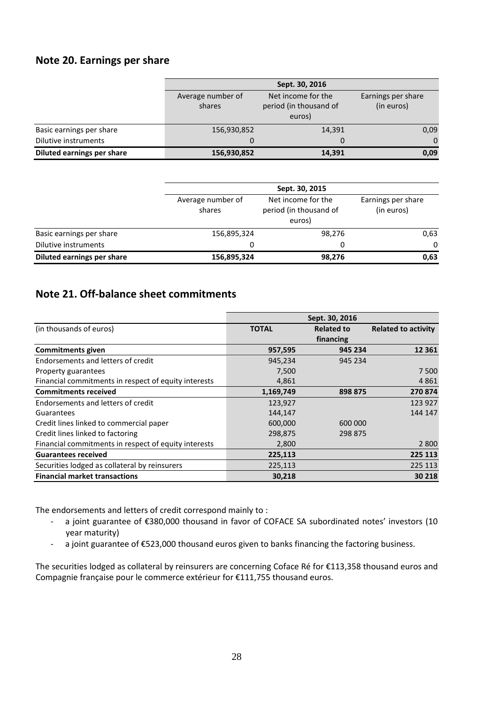## <span id="page-27-0"></span>**Note 20. Earnings per share**

|                                   |                             | Sept. 30, 2016                                         |                                  |  |  |  |  |  |
|-----------------------------------|-----------------------------|--------------------------------------------------------|----------------------------------|--|--|--|--|--|
|                                   | Average number of<br>shares | Net income for the<br>period (in thousand of<br>euros) | Earnings per share<br>(in euros) |  |  |  |  |  |
| Basic earnings per share          | 156,930,852                 | 14,391                                                 | 0,09                             |  |  |  |  |  |
| Dilutive instruments              |                             | 0                                                      | $\Omega$                         |  |  |  |  |  |
| <b>Diluted earnings per share</b> | 156,930,852                 | 14,391                                                 | 0,09                             |  |  |  |  |  |

|                            | Sept. 30, 2015              |                                                        |                                  |  |  |
|----------------------------|-----------------------------|--------------------------------------------------------|----------------------------------|--|--|
|                            | Average number of<br>shares | Net income for the<br>period (in thousand of<br>euros) | Earnings per share<br>(in euros) |  |  |
| Basic earnings per share   | 156,895,324                 | 98,276                                                 | 0,63                             |  |  |
| Dilutive instruments       | 0                           | 0                                                      | $\Omega$                         |  |  |
| Diluted earnings per share | 156,895,324                 | 98,276                                                 | 0,63                             |  |  |

## <span id="page-27-1"></span>**Note 21. Off-balance sheet commitments**

|                                                      | Sept. 30, 2016 |                   |                            |  |  |
|------------------------------------------------------|----------------|-------------------|----------------------------|--|--|
| (in thousands of euros)                              | <b>TOTAL</b>   | <b>Related to</b> | <b>Related to activity</b> |  |  |
|                                                      |                | financing         |                            |  |  |
| <b>Commitments given</b>                             | 957,595        | 945 234           | 12 3 61                    |  |  |
| Endorsements and letters of credit                   | 945,234        | 945 234           |                            |  |  |
| Property guarantees                                  | 7,500          |                   | 7 500                      |  |  |
| Financial commitments in respect of equity interests | 4,861          |                   | 4861                       |  |  |
| <b>Commitments received</b>                          | 1,169,749      | 898 875           | 270874                     |  |  |
| Endorsements and letters of credit                   | 123,927        |                   | 123 927                    |  |  |
| Guarantees                                           | 144,147        |                   | 144 147                    |  |  |
| Credit lines linked to commercial paper              | 600,000        | 600 000           |                            |  |  |
| Credit lines linked to factoring                     | 298,875        | 298 875           |                            |  |  |
| Financial commitments in respect of equity interests | 2,800          |                   | 2 8 0 0                    |  |  |
| <b>Guarantees received</b>                           | 225,113        |                   | 225 113                    |  |  |
| Securities lodged as collateral by reinsurers        | 225,113        |                   | 225 113                    |  |  |
| <b>Financial market transactions</b>                 | 30,218         |                   | 30 218                     |  |  |

The endorsements and letters of credit correspond mainly to :

- a joint guarantee of €380,000 thousand in favor of COFACE SA subordinated notes' investors (10 year maturity)
- a joint guarantee of €523,000 thousand euros given to banks financing the factoring business.

The securities lodged as collateral by reinsurers are concerning Coface Ré for €113,358 thousand euros and Compagnie française pour le commerce extérieur for €111,755 thousand euros.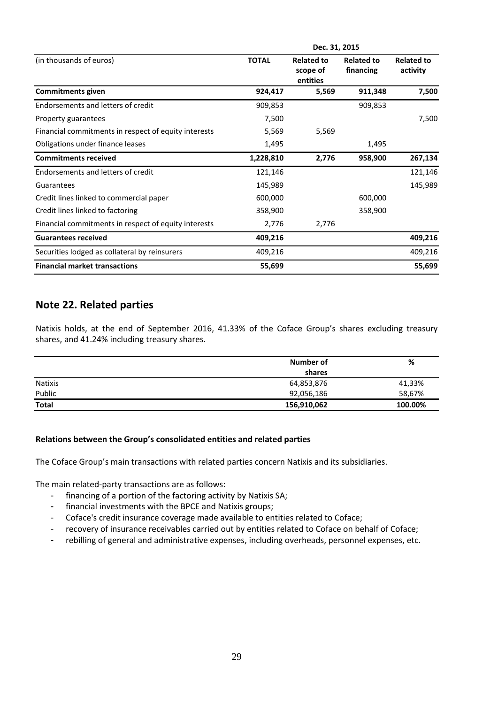| (in thousands of euros)                              | <b>TOTAL</b> | <b>Related to</b><br>scope of<br>entities | <b>Related to</b><br>financing | <b>Related to</b><br>activity |
|------------------------------------------------------|--------------|-------------------------------------------|--------------------------------|-------------------------------|
| <b>Commitments given</b>                             | 924,417      | 5,569                                     | 911,348                        | 7,500                         |
| Endorsements and letters of credit                   | 909,853      |                                           | 909,853                        |                               |
| Property guarantees                                  | 7,500        |                                           |                                | 7,500                         |
| Financial commitments in respect of equity interests | 5,569        | 5,569                                     |                                |                               |
| Obligations under finance leases                     | 1,495        |                                           | 1,495                          |                               |
| <b>Commitments received</b>                          | 1,228,810    | 2,776                                     | 958,900                        | 267,134                       |
| Endorsements and letters of credit                   | 121,146      |                                           |                                | 121,146                       |
| Guarantees                                           | 145,989      |                                           |                                | 145,989                       |
| Credit lines linked to commercial paper              | 600,000      |                                           | 600,000                        |                               |
| Credit lines linked to factoring                     | 358,900      |                                           | 358,900                        |                               |
| Financial commitments in respect of equity interests | 2,776        | 2,776                                     |                                |                               |
| <b>Guarantees received</b>                           | 409,216      |                                           |                                | 409,216                       |
| Securities lodged as collateral by reinsurers        | 409,216      |                                           |                                | 409,216                       |
| <b>Financial market transactions</b>                 | 55,699       |                                           |                                | 55,699                        |

## <span id="page-28-0"></span>**Note 22. Related parties**

Natixis holds, at the end of September 2016, 41.33% of the Coface Group's shares excluding treasury shares, and 41.24% including treasury shares.

|                | Number of   | %       |
|----------------|-------------|---------|
|                | shares      |         |
| <b>Natixis</b> | 64,853,876  | 41,33%  |
| Public         | 92,056,186  | 58,67%  |
| Total          | 156,910,062 | 100.00% |

#### **Relations between the Group's consolidated entities and related parties**

The Coface Group's main transactions with related parties concern Natixis and its subsidiaries.

The main related-party transactions are as follows:

- financing of a portion of the factoring activity by Natixis SA;
- financial investments with the BPCE and Natixis groups;
- Coface's credit insurance coverage made available to entities related to Coface;
- recovery of insurance receivables carried out by entities related to Coface on behalf of Coface;
- rebilling of general and administrative expenses, including overheads, personnel expenses, etc.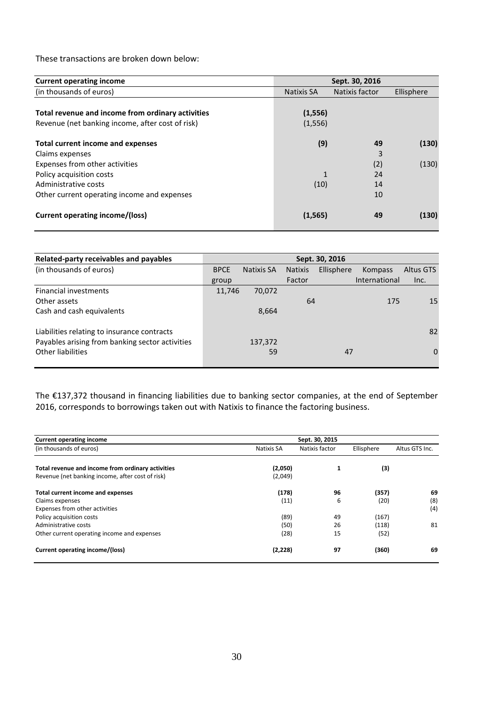These transactions are broken down below:

| <b>Current operating income</b>                   | Sept. 30, 2016 |                |            |  |
|---------------------------------------------------|----------------|----------------|------------|--|
| (in thousands of euros)                           | Natixis SA     | Natixis factor | Ellisphere |  |
|                                                   |                |                |            |  |
| Total revenue and income from ordinary activities | (1, 556)       |                |            |  |
| Revenue (net banking income, after cost of risk)  | (1, 556)       |                |            |  |
| <b>Total current income and expenses</b>          | (9)            | 49             | (130)      |  |
| Claims expenses                                   |                | 3              |            |  |
| Expenses from other activities                    |                | (2)            | (130)      |  |
| Policy acquisition costs                          |                | 24             |            |  |
| Administrative costs                              | (10)           | 14             |            |  |
| Other current operating income and expenses       |                | 10             |            |  |
| Current operating income/(loss)                   | (1, 565)       | 49             | (130)      |  |

| Related-party receivables and payables          |             |            |                | Sept. 30, 2016 |                |           |
|-------------------------------------------------|-------------|------------|----------------|----------------|----------------|-----------|
| (in thousands of euros)                         | <b>BPCE</b> | Natixis SA | <b>Natixis</b> | Ellisphere     | <b>Kompass</b> | Altus GTS |
|                                                 | group       |            | Factor         |                | International  | Inc.      |
| <b>Financial investments</b>                    | 11,746      | 70,072     |                |                |                |           |
| Other assets                                    |             |            | 64             |                | 175            | 15        |
| Cash and cash equivalents                       |             | 8,664      |                |                |                |           |
| Liabilities relating to insurance contracts     |             |            |                |                |                | 82        |
| Payables arising from banking sector activities |             | 137,372    |                |                |                |           |
| Other liabilities                               |             | 59         |                | 47             |                | $\Omega$  |

The €137,372 thousand in financing liabilities due to banking sector companies, at the end of September 2016, corresponds to borrowings taken out with Natixis to finance the factoring business.

| <b>Current operating income</b>                   |            | Sept. 30, 2015 |            |                |
|---------------------------------------------------|------------|----------------|------------|----------------|
| (in thousands of euros)                           | Natixis SA | Natixis factor | Ellisphere | Altus GTS Inc. |
| Total revenue and income from ordinary activities | (2,050)    | 1              | (3)        |                |
| Revenue (net banking income, after cost of risk)  | (2,049)    |                |            |                |
| Total current income and expenses                 | (178)      | 96             | (357)      | 69             |
| Claims expenses                                   | (11)       | 6              | (20)       | (8)            |
| Expenses from other activities                    |            |                |            | (4)            |
| Policy acquisition costs                          | (89)       | 49             | (167)      |                |
| Administrative costs                              | (50)       | 26             | (118)      | 81             |
| Other current operating income and expenses       | (28)       | 15             | (52)       |                |
| Current operating income/(loss)                   | (2, 228)   | 97             | (360)      | 69             |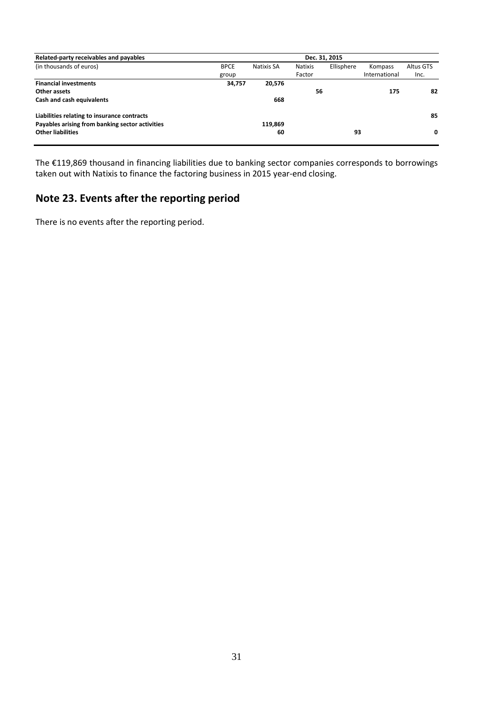| Related-party receivables and payables<br>Dec. 31, 2015 |        |            |                |            |               |           |
|---------------------------------------------------------|--------|------------|----------------|------------|---------------|-----------|
| (in thousands of euros)<br><b>BPCE</b>                  |        | Natixis SA | <b>Natixis</b> | Ellisphere | Kompass       | Altus GTS |
| group                                                   |        |            | Factor         |            | International | Inc.      |
| <b>Financial investments</b>                            | 34,757 | 20,576     |                |            |               |           |
| Other assets                                            |        |            | 56             |            | 175           | 82        |
| Cash and cash equivalents                               |        | 668        |                |            |               |           |
| Liabilities relating to insurance contracts             |        |            |                |            |               | 85        |
| Payables arising from banking sector activities         |        | 119,869    |                |            |               |           |
| <b>Other liabilities</b>                                |        | 60         |                | 93         |               | 0         |

The €119,869 thousand in financing liabilities due to banking sector companies corresponds to borrowings taken out with Natixis to finance the factoring business in 2015 year-end closing.

# <span id="page-30-0"></span>**Note 23. Events after the reporting period**

There is no events after the reporting period.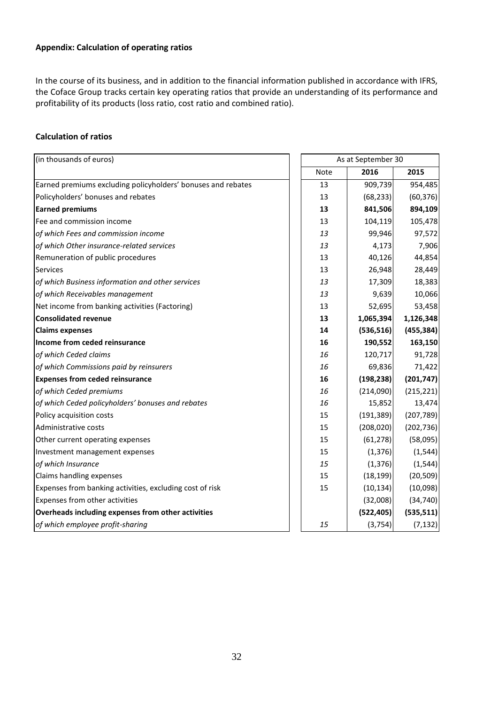#### **Appendix: Calculation of operating ratios**

In the course of its business, and in addition to the financial information published in accordance with IFRS, the Coface Group tracks certain key operating ratios that provide an understanding of its performance and profitability of its products (loss ratio, cost ratio and combined ratio).

#### **Calculation of ratios**

| (in thousands of euros)                                      | As at September 30 |            |            |
|--------------------------------------------------------------|--------------------|------------|------------|
|                                                              | Note               | 2016       | 2015       |
| Earned premiums excluding policyholders' bonuses and rebates | 13                 | 909,739    | 954,485    |
| Policyholders' bonuses and rebates                           | 13                 | (68, 233)  | (60, 376)  |
| <b>Earned premiums</b>                                       | 13                 | 841,506    | 894,109    |
| Fee and commission income                                    | 13                 | 104,119    | 105,478    |
| of which Fees and commission income                          | 13                 | 99,946     | 97,572     |
| of which Other insurance-related services                    | 13                 | 4,173      | 7,906      |
| Remuneration of public procedures                            | 13                 | 40,126     | 44,854     |
| Services                                                     | 13                 | 26,948     | 28,449     |
| of which Business information and other services             | 13                 | 17,309     | 18,383     |
| of which Receivables management                              | 13                 | 9,639      | 10,066     |
| Net income from banking activities (Factoring)               | 13                 | 52,695     | 53,458     |
| <b>Consolidated revenue</b>                                  | 13                 | 1,065,394  | 1,126,348  |
| <b>Claims expenses</b>                                       | 14                 | (536, 516) | (455, 384) |
| Income from ceded reinsurance                                | 16                 | 190,552    | 163,150    |
| of which Ceded claims                                        | 16                 | 120,717    | 91,728     |
| of which Commissions paid by reinsurers                      | 16                 | 69,836     | 71,422     |
| <b>Expenses from ceded reinsurance</b>                       | 16                 | (198, 238) | (201, 747) |
| of which Ceded premiums                                      | 16                 | (214,090)  | (215, 221) |
| of which Ceded policyholders' bonuses and rebates            | 16                 | 15,852     | 13,474     |
| Policy acquisition costs                                     | 15                 | (191, 389) | (207, 789) |
| Administrative costs                                         | 15                 | (208, 020) | (202, 736) |
| Other current operating expenses                             | 15                 | (61, 278)  | (58,095)   |
| Investment management expenses                               | 15                 | (1, 376)   | (1, 544)   |
| of which Insurance                                           | 15                 | (1, 376)   | (1, 544)   |
| Claims handling expenses                                     | 15                 | (18, 199)  | (20, 509)  |
| Expenses from banking activities, excluding cost of risk     | 15                 | (10, 134)  | (10,098)   |
| Expenses from other activities                               |                    | (32,008)   | (34, 740)  |
| Overheads including expenses from other activities           |                    | (522, 405) | (535, 511) |
| of which employee profit-sharing                             | 15                 | (3, 754)   | (7, 132)   |